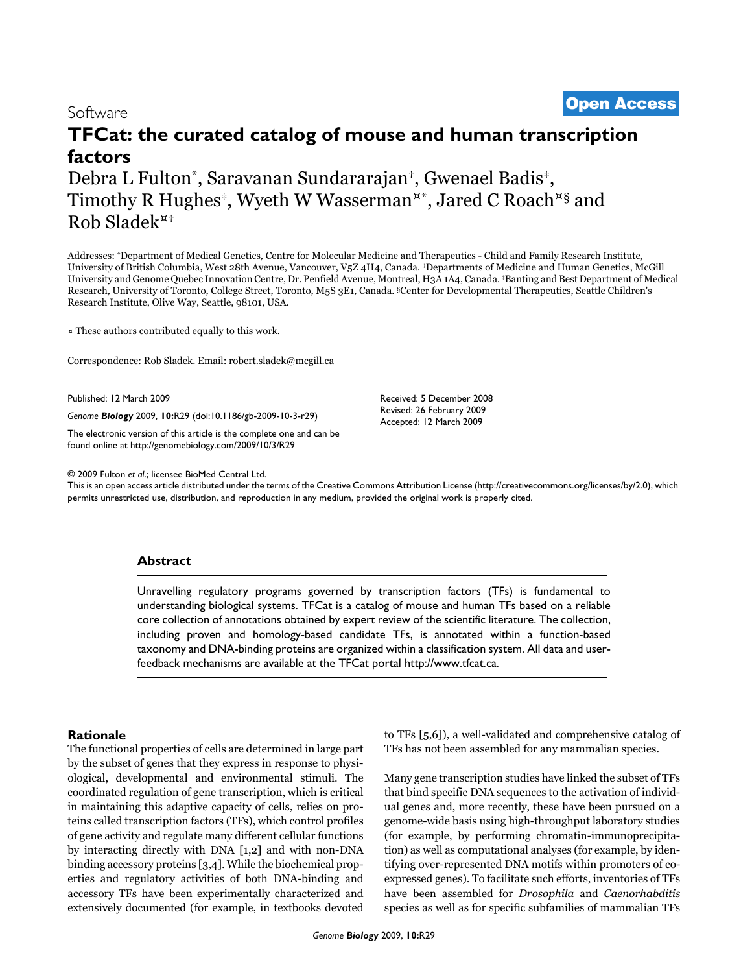# **TFCat: the curated catalog of mouse and human transcription factors**

Debra L Fulton\*, Saravanan Sundararajan†, Gwenael Badis‡, Timothy R Hughes<sup>‡</sup>, Wyeth W Wasserman<sup>¤\*</sup>, Jared C Roach<sup>¤§</sup> and Rob Sladek¤†

Addresses: \*Department of Medical Genetics, Centre for Molecular Medicine and Therapeutics - Child and Family Research Institute, University of British Columbia, West 28th Avenue, Vancouver, V5Z 4H4, Canada. †Departments of Medicine and Human Genetics, McGill University and Genome Quebec Innovation Centre, Dr. Penfield Avenue, Montreal, H3A 1A4, Canada. ‡Banting and Best Department of Medical Research, University of Toronto, College Street, Toronto, M5S 3E1, Canada. §Center for Developmental Therapeutics, Seattle Children's Research Institute, Olive Way, Seattle, 98101, USA.

¤ These authors contributed equally to this work.

Correspondence: Rob Sladek. Email: robert.sladek@mcgill.ca

Published: 12 March 2009

*Genome Biology* 2009, **10:**R29 (doi:10.1186/gb-2009-10-3-r29)

[The electronic version of this article is the complete one and can be](http://genomebiology.com/2009/10/3/R29)  found online at http://genomebiology.com/2009/10/3/R29

Received: 5 December 2008 Revised: 26 February 2009 Accepted: 12 March 2009

© 2009 Fulton *et al*.; licensee BioMed Central Ltd.

[This is an open access article distributed under the terms of the Creative Commons Attribution License \(http://creativecommons.org/licenses/by/2.0\), which](http://creativecommons.org/licenses/by/2.0)  permits unrestricted use, distribution, and reproduction in any medium, provided the original work is properly cited.

# **Abstract**

Unravelling regulatory programs governed by transcription factors (TFs) is fundamental to understanding biological systems. TFCat is a catalog of mouse and human TFs based on a reliable [core collection of annotations obtained by expert review of the scientific literature. The collection,](http://www.tfcat.ca) including proven and homology-based candidate TFs, is annotated within a function-based taxonomy and DNA-binding proteins are organized within a classification system. All data and userfeedback mechanisms are available at the TFCat portal http://www.tfcat.ca.

# **Rationale**

The functional properties of cells are determined in large part by the subset of genes that they express in response to physiological, developmental and environmental stimuli. The coordinated regulation of gene transcription, which is critical in maintaining this adaptive capacity of cells, relies on proteins called transcription factors (TFs), which control profiles of gene activity and regulate many different cellular functions by interacting directly with DNA [1,2] and with non-DNA binding accessory proteins [3,4]. While the biochemical properties and regulatory activities of both DNA-binding and accessory TFs have been experimentally characterized and extensively documented (for example, in textbooks devoted to TFs [5,6]), a well-validated and comprehensive catalog of TFs has not been assembled for any mammalian species.

Many gene transcription studies have linked the subset of TFs that bind specific DNA sequences to the activation of individual genes and, more recently, these have been pursued on a genome-wide basis using high-throughput laboratory studies (for example, by performing chromatin-immunoprecipitation) as well as computational analyses (for example, by identifying over-represented DNA motifs within promoters of coexpressed genes). To facilitate such efforts, inventories of TFs have been assembled for *Drosophila* and *Caenorhabditis* species as well as for specific subfamilies of mammalian TFs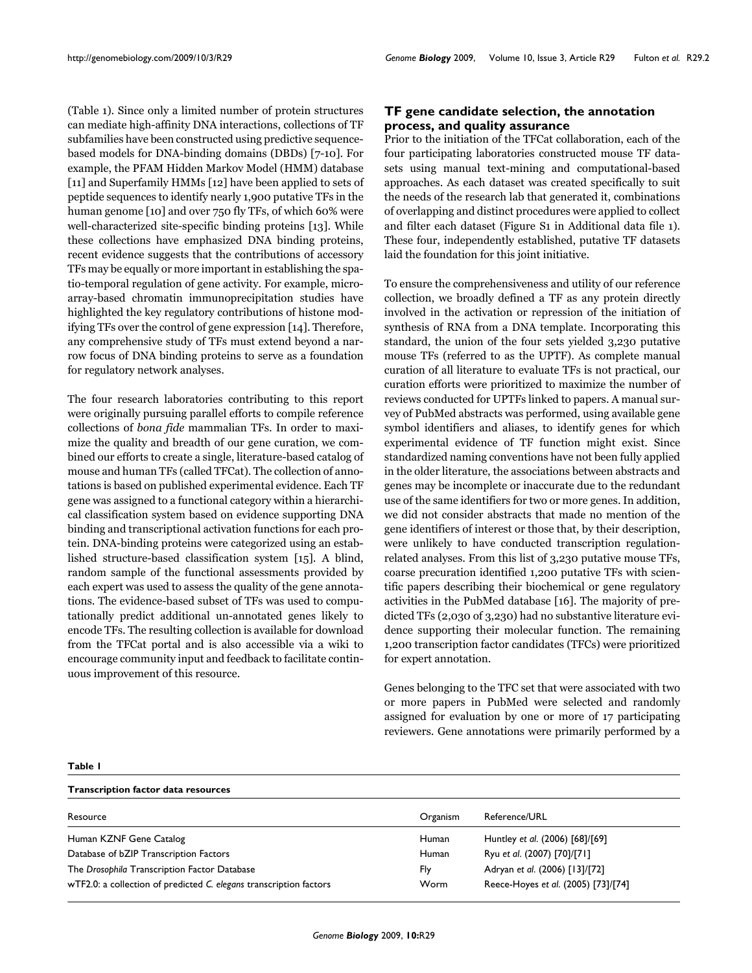(Table 1). Since only a limited number of protein structures can mediate high-affinity DNA interactions, collections of TF subfamilies have been constructed using predictive sequencebased models for DNA-binding domains (DBDs) [7-10]. For example, the PFAM Hidden Markov Model (HMM) database [11] and Superfamily HMMs [12] have been applied to sets of peptide sequences to identify nearly 1,900 putative TFs in the human genome [10] and over 750 fly TFs, of which 60% were well-characterized site-specific binding proteins [13]. While these collections have emphasized DNA binding proteins, recent evidence suggests that the contributions of accessory TFs may be equally or more important in establishing the spatio-temporal regulation of gene activity. For example, microarray-based chromatin immunoprecipitation studies have highlighted the key regulatory contributions of histone modifying TFs over the control of gene expression [14]. Therefore, any comprehensive study of TFs must extend beyond a narrow focus of DNA binding proteins to serve as a foundation for regulatory network analyses.

The four research laboratories contributing to this report were originally pursuing parallel efforts to compile reference collections of *bona fide* mammalian TFs. In order to maximize the quality and breadth of our gene curation, we combined our efforts to create a single, literature-based catalog of mouse and human TFs (called TFCat). The collection of annotations is based on published experimental evidence. Each TF gene was assigned to a functional category within a hierarchical classification system based on evidence supporting DNA binding and transcriptional activation functions for each protein. DNA-binding proteins were categorized using an established structure-based classification system [15]. A blind, random sample of the functional assessments provided by each expert was used to assess the quality of the gene annotations. The evidence-based subset of TFs was used to computationally predict additional un-annotated genes likely to encode TFs. The resulting collection is available for download from the TFCat portal and is also accessible via a wiki to encourage community input and feedback to facilitate continuous improvement of this resource.

# **TF gene candidate selection, the annotation process, and quality assurance**

Prior to the initiation of the TFCat collaboration, each of the four participating laboratories constructed mouse TF datasets using manual text-mining and computational-based approaches. As each dataset was created specifically to suit the needs of the research lab that generated it, combinations of overlapping and distinct procedures were applied to collect and filter each dataset (Figure S1 in Additional data file 1). These four, independently established, putative TF datasets laid the foundation for this joint initiative.

To ensure the comprehensiveness and utility of our reference collection, we broadly defined a TF as any protein directly involved in the activation or repression of the initiation of synthesis of RNA from a DNA template. Incorporating this standard, the union of the four sets yielded 3,230 putative mouse TFs (referred to as the UPTF). As complete manual curation of all literature to evaluate TFs is not practical, our curation efforts were prioritized to maximize the number of reviews conducted for UPTFs linked to papers. A manual survey of PubMed abstracts was performed, using available gene symbol identifiers and aliases, to identify genes for which experimental evidence of TF function might exist. Since standardized naming conventions have not been fully applied in the older literature, the associations between abstracts and genes may be incomplete or inaccurate due to the redundant use of the same identifiers for two or more genes. In addition, we did not consider abstracts that made no mention of the gene identifiers of interest or those that, by their description, were unlikely to have conducted transcription regulationrelated analyses. From this list of 3,230 putative mouse TFs, coarse precuration identified 1,200 putative TFs with scientific papers describing their biochemical or gene regulatory activities in the PubMed database [16]. The majority of predicted TFs (2,030 of 3,230) had no substantive literature evidence supporting their molecular function. The remaining 1,200 transcription factor candidates (TFCs) were prioritized for expert annotation.

Genes belonging to the TFC set that were associated with two or more papers in PubMed were selected and randomly assigned for evaluation by one or more of 17 participating reviewers. Gene annotations were primarily performed by a

#### **Table 1**

**Transcription factor data resources** Resource **Contract Contract Contract Contract Contract Contract Contract Contract Contract Contract Contract Contract Contract Contract Contract Contract Contract Contract Contract Contract Contract Contract Contract Contr** Human KZNF Gene Catalog **Human** Human Huntley *et al.* (2006) [68]/[69] Database of bZIP Transcription Factors **Factors Example 2008** Human Ryu *et al.* (2007) [70]/[71] The *Drosophila* Transcription Factor Database Fly Adryan *et al*. (2006) [13]/[72] wTF2.0: a collection of predicted *C. elegans* transcription factors Worm Reece-Hoyes *et al*. (2005) [73]/[74]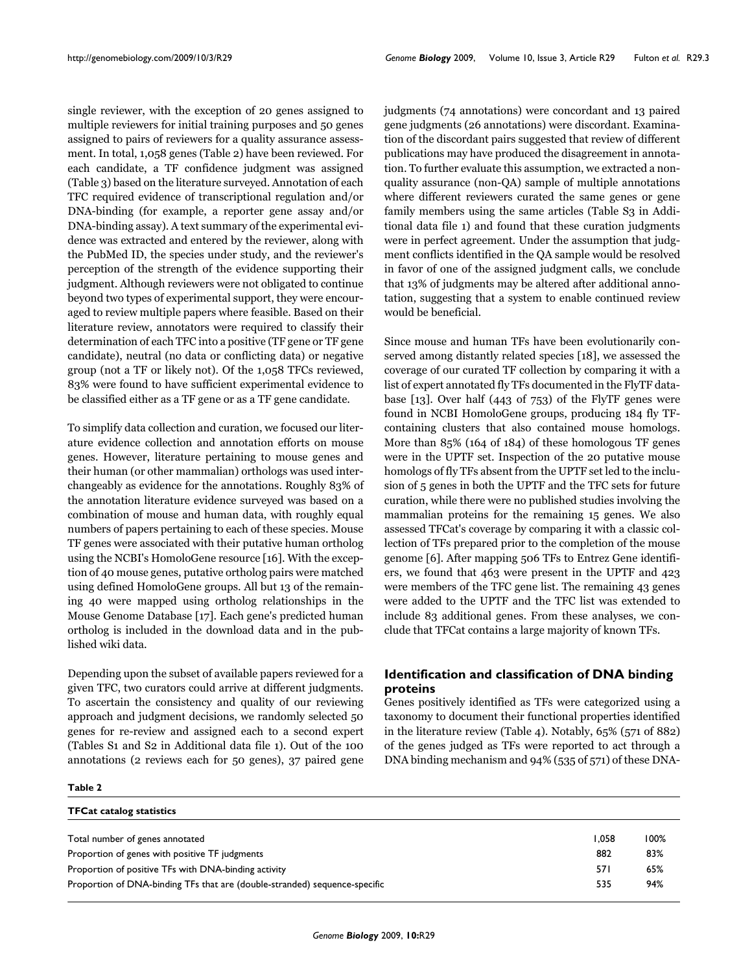single reviewer, with the exception of 20 genes assigned to multiple reviewers for initial training purposes and 50 genes assigned to pairs of reviewers for a quality assurance assessment. In total, 1,058 genes (Table 2) have been reviewed. For each candidate, a TF confidence judgment was assigned (Table 3) based on the literature surveyed. Annotation of each TFC required evidence of transcriptional regulation and/or DNA-binding (for example, a reporter gene assay and/or DNA-binding assay). A text summary of the experimental evidence was extracted and entered by the reviewer, along with the PubMed ID, the species under study, and the reviewer's perception of the strength of the evidence supporting their judgment. Although reviewers were not obligated to continue beyond two types of experimental support, they were encouraged to review multiple papers where feasible. Based on their literature review, annotators were required to classify their determination of each TFC into a positive (TF gene or TF gene candidate), neutral (no data or conflicting data) or negative group (not a TF or likely not). Of the 1,058 TFCs reviewed, 83% were found to have sufficient experimental evidence to be classified either as a TF gene or as a TF gene candidate.

To simplify data collection and curation, we focused our literature evidence collection and annotation efforts on mouse genes. However, literature pertaining to mouse genes and their human (or other mammalian) orthologs was used interchangeably as evidence for the annotations. Roughly 83% of the annotation literature evidence surveyed was based on a combination of mouse and human data, with roughly equal numbers of papers pertaining to each of these species. Mouse TF genes were associated with their putative human ortholog using the NCBI's HomoloGene resource [16]. With the exception of 40 mouse genes, putative ortholog pairs were matched using defined HomoloGene groups. All but 13 of the remaining 40 were mapped using ortholog relationships in the Mouse Genome Database [17]. Each gene's predicted human ortholog is included in the download data and in the published wiki data.

Depending upon the subset of available papers reviewed for a given TFC, two curators could arrive at different judgments. To ascertain the consistency and quality of our reviewing approach and judgment decisions, we randomly selected 50 genes for re-review and assigned each to a second expert (Tables S1 and S2 in Additional data file 1). Out of the 100 annotations (2 reviews each for 50 genes), 37 paired gene

judgments (74 annotations) were concordant and 13 paired gene judgments (26 annotations) were discordant. Examination of the discordant pairs suggested that review of different publications may have produced the disagreement in annotation. To further evaluate this assumption, we extracted a nonquality assurance (non-QA) sample of multiple annotations where different reviewers curated the same genes or gene family members using the same articles (Table S3 in Additional data file 1) and found that these curation judgments were in perfect agreement. Under the assumption that judgment conflicts identified in the QA sample would be resolved in favor of one of the assigned judgment calls, we conclude that 13% of judgments may be altered after additional annotation, suggesting that a system to enable continued review would be beneficial.

Since mouse and human TFs have been evolutionarily conserved among distantly related species [18], we assessed the coverage of our curated TF collection by comparing it with a list of expert annotated fly TFs documented in the FlyTF database [13]. Over half (443 of 753) of the FlyTF genes were found in NCBI HomoloGene groups, producing 184 fly TFcontaining clusters that also contained mouse homologs. More than 85% (164 of 184) of these homologous TF genes were in the UPTF set. Inspection of the 20 putative mouse homologs of fly TFs absent from the UPTF set led to the inclusion of 5 genes in both the UPTF and the TFC sets for future curation, while there were no published studies involving the mammalian proteins for the remaining 15 genes. We also assessed TFCat's coverage by comparing it with a classic collection of TFs prepared prior to the completion of the mouse genome [6]. After mapping 506 TFs to Entrez Gene identifiers, we found that 463 were present in the UPTF and 423 were members of the TFC gene list. The remaining 43 genes were added to the UPTF and the TFC list was extended to include 83 additional genes. From these analyses, we conclude that TFCat contains a large majority of known TFs.

# **Identification and classification of DNA binding proteins**

Genes positively identified as TFs were categorized using a taxonomy to document their functional properties identified in the literature review (Table 4). Notably, 65% (571 of 882) of the genes judged as TFs were reported to act through a DNA binding mechanism and 94% (535 of 571) of these DNA-

#### **Table 2**

| <b>TFCat catalog statistics</b>                                            |       |      |
|----------------------------------------------------------------------------|-------|------|
| Total number of genes annotated                                            | 1.058 | 100% |
| Proportion of genes with positive TF judgments                             | 882   | 83%  |
| Proportion of positive TFs with DNA-binding activity                       | 57 I  | 65%  |
| Proportion of DNA-binding TFs that are (double-stranded) sequence-specific | 535   | 94%  |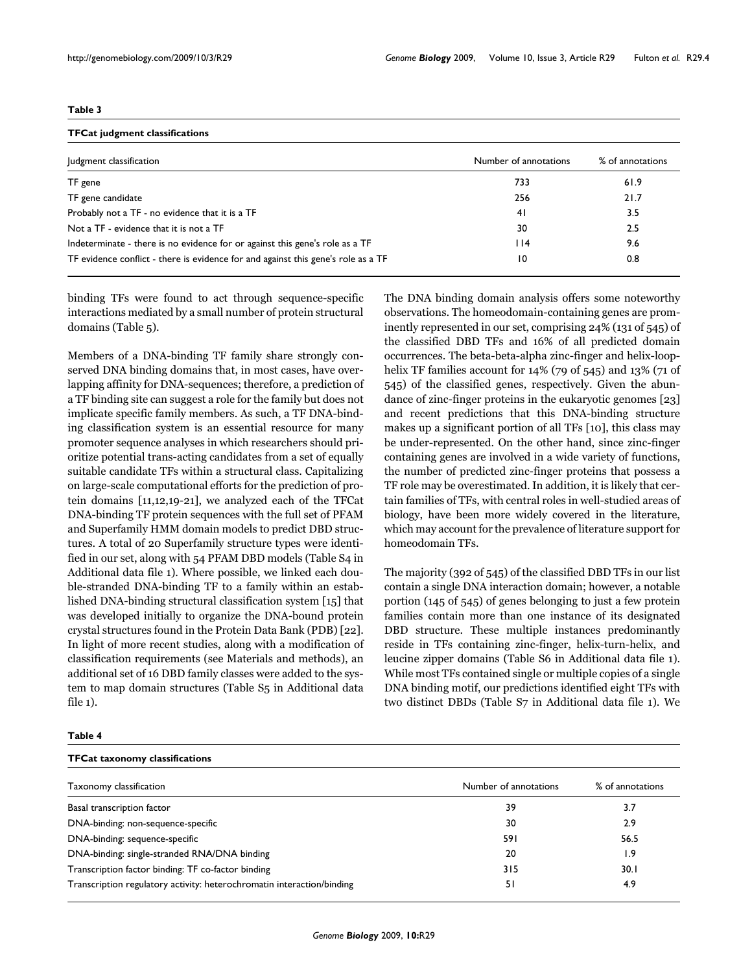#### **Table 3**

#### **TFCat judgment classifications**

| Judgment classification                                                           | Number of annotations | % of annotations |
|-----------------------------------------------------------------------------------|-----------------------|------------------|
| TF gene                                                                           | 733                   | 61.9             |
| TF gene candidate                                                                 | 256                   | 21.7             |
| Probably not a TF - no evidence that it is a TF                                   | 41                    | 3.5              |
| Not a TF - evidence that it is not a TF                                           | 30                    | 2.5              |
| Indeterminate - there is no evidence for or against this gene's role as a TF      | 114                   | 9.6              |
| TF evidence conflict - there is evidence for and against this gene's role as a TF | 10                    | 0.8              |

binding TFs were found to act through sequence-specific interactions mediated by a small number of protein structural domains (Table 5).

Members of a DNA-binding TF family share strongly conserved DNA binding domains that, in most cases, have overlapping affinity for DNA-sequences; therefore, a prediction of a TF binding site can suggest a role for the family but does not implicate specific family members. As such, a TF DNA-binding classification system is an essential resource for many promoter sequence analyses in which researchers should prioritize potential trans-acting candidates from a set of equally suitable candidate TFs within a structural class. Capitalizing on large-scale computational efforts for the prediction of protein domains [11,12,19-21], we analyzed each of the TFCat DNA-binding TF protein sequences with the full set of PFAM and Superfamily HMM domain models to predict DBD structures. A total of 20 Superfamily structure types were identified in our set, along with 54 PFAM DBD models (Table S4 in Additional data file 1). Where possible, we linked each double-stranded DNA-binding TF to a family within an established DNA-binding structural classification system [15] that was developed initially to organize the DNA-bound protein crystal structures found in the Protein Data Bank (PDB) [22]. In light of more recent studies, along with a modification of classification requirements (see Materials and methods), an additional set of 16 DBD family classes were added to the system to map domain structures (Table S5 in Additional data file 1).

The DNA binding domain analysis offers some noteworthy observations. The homeodomain-containing genes are prominently represented in our set, comprising 24% (131 of 545) of the classified DBD TFs and 16% of all predicted domain occurrences. The beta-beta-alpha zinc-finger and helix-loophelix TF families account for 14% (79 of 545) and 13% (71 of 545) of the classified genes, respectively. Given the abundance of zinc-finger proteins in the eukaryotic genomes [23] and recent predictions that this DNA-binding structure makes up a significant portion of all TFs [10], this class may be under-represented. On the other hand, since zinc-finger containing genes are involved in a wide variety of functions, the number of predicted zinc-finger proteins that possess a TF role may be overestimated. In addition, it is likely that certain families of TFs, with central roles in well-studied areas of biology, have been more widely covered in the literature, which may account for the prevalence of literature support for homeodomain TFs.

The majority (392 of 545) of the classified DBD TFs in our list contain a single DNA interaction domain; however, a notable portion (145 of 545) of genes belonging to just a few protein families contain more than one instance of its designated DBD structure. These multiple instances predominantly reside in TFs containing zinc-finger, helix-turn-helix, and leucine zipper domains (Table S6 in Additional data file 1). While most TFs contained single or multiple copies of a single DNA binding motif, our predictions identified eight TFs with two distinct DBDs (Table S7 in Additional data file 1). We

#### **Table 4**

| <b>TFCat taxonomy classifications</b>                                  |                       |                  |  |  |
|------------------------------------------------------------------------|-----------------------|------------------|--|--|
| Taxonomy classification                                                | Number of annotations | % of annotations |  |  |
| Basal transcription factor                                             | 39                    | 3.7              |  |  |
| DNA-binding: non-sequence-specific                                     | 30                    | 2.9              |  |  |
| DNA-binding: sequence-specific                                         | 591                   | 56.5             |  |  |
| DNA-binding: single-stranded RNA/DNA binding                           | 20                    | 1.9              |  |  |
| Transcription factor binding: TF co-factor binding                     | 315                   | 30.1             |  |  |
| Transcription regulatory activity: heterochromatin interaction/binding | 51                    | 4.9              |  |  |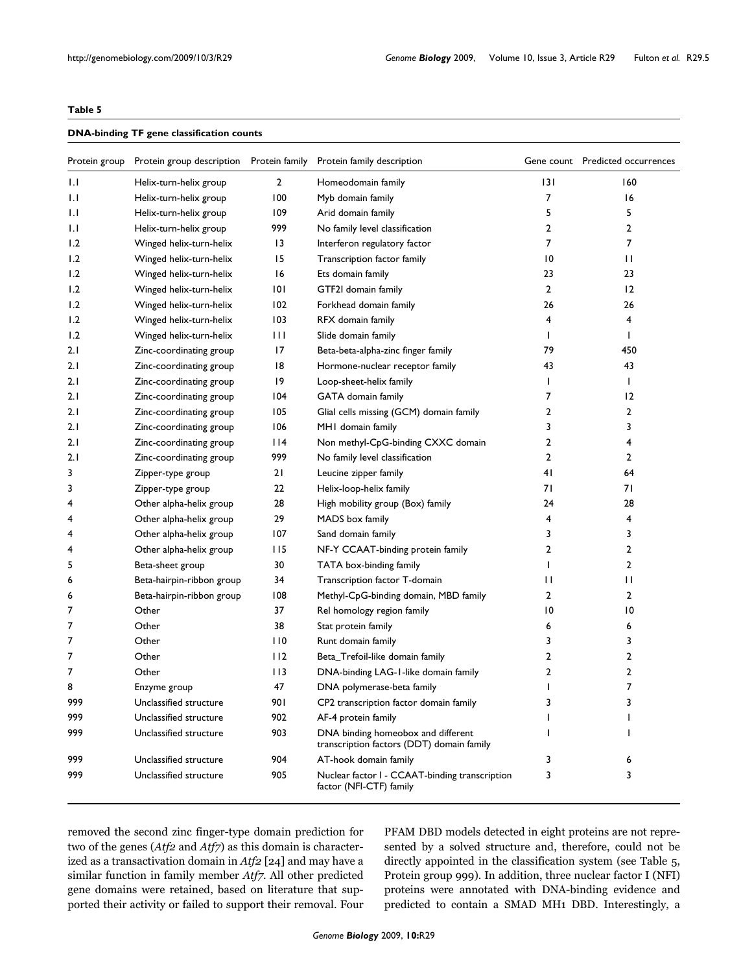# **Table 5**

#### **DNA-binding TF gene classification counts**

| Protein group | Protein group description | Protein family | Protein family description                                                      |                | Gene count Predicted occurrences |
|---------------|---------------------------|----------------|---------------------------------------------------------------------------------|----------------|----------------------------------|
| 1.1           | Helix-turn-helix group    | $\overline{2}$ | Homeodomain family                                                              | 3              | 160                              |
| IJ            | Helix-turn-helix group    | 100            | Myb domain family                                                               | $\overline{7}$ | 16                               |
| IJ            | Helix-turn-helix group    | 109            | Arid domain family                                                              | 5              | 5                                |
| $\mathsf{L}$  | Helix-turn-helix group    | 999            | No family level classification                                                  | 2              | 2                                |
| 1.2           | Winged helix-turn-helix   | 13             | Interferon regulatory factor                                                    | 7              | 7                                |
| 1.2           | Winged helix-turn-helix   | 15             | Transcription factor family                                                     | 10             | П                                |
| 1.2           | Winged helix-turn-helix   | 16             | Ets domain family                                                               | 23             | 23                               |
| 1.2           | Winged helix-turn-helix   | 101            | GTF2I domain family                                                             | $\overline{2}$ | 12                               |
| 1.2           | Winged helix-turn-helix   | 102            | Forkhead domain family                                                          | 26             | 26                               |
| 1.2           | Winged helix-turn-helix   | 103            | RFX domain family                                                               | 4              | 4                                |
| 1.2           | Winged helix-turn-helix   | Ш              | Slide domain family                                                             | L              | I                                |
| 2.1           | Zinc-coordinating group   | 17             | Beta-beta-alpha-zinc finger family                                              | 79             | 450                              |
| 2.1           | Zinc-coordinating group   | 18             | Hormone-nuclear receptor family                                                 | 43             | 43                               |
| 2.1           | Zinc-coordinating group   | 9              | Loop-sheet-helix family                                                         |                | ı                                |
| 2.1           | Zinc-coordinating group   | 104            | GATA domain family                                                              | 7              | 12                               |
| 2.1           | Zinc-coordinating group   | 105            | Glial cells missing (GCM) domain family                                         | 2              | 2                                |
| 2.1           | Zinc-coordinating group   | 106            | MHI domain family                                                               | 3              | 3                                |
| 2.1           | Zinc-coordinating group   | l 14           | Non methyl-CpG-binding CXXC domain                                              | 2              | 4                                |
| 2.1           | Zinc-coordinating group   | 999            | No family level classification                                                  | 2              | 2                                |
| 3             | Zipper-type group         | 21             | Leucine zipper family                                                           | 41             | 64                               |
| 3             | Zipper-type group         | 22             | Helix-loop-helix family                                                         | 71             | 71                               |
| 4             | Other alpha-helix group   | 28             | High mobility group (Box) family                                                | 24             | 28                               |
| 4             | Other alpha-helix group   | 29             | MADS box family                                                                 | 4              | 4                                |
| 4             | Other alpha-helix group   | 107            | Sand domain family                                                              | 3              | 3                                |
| 4             | Other alpha-helix group   | 115            | NF-Y CCAAT-binding protein family                                               | 2              | 2                                |
| 5             | Beta-sheet group          | 30             | TATA box-binding family                                                         |                | 2                                |
| 6             | Beta-hairpin-ribbon group | 34             | Transcription factor T-domain                                                   | П              | П                                |
| 6             | Beta-hairpin-ribbon group | 108            | Methyl-CpG-binding domain, MBD family                                           | 2              | 2                                |
| 7             | Other                     | 37             | Rel homology region family                                                      | 10             | 10                               |
| 7             | Other                     | 38             | Stat protein family                                                             | 6              | 6                                |
| 7             | Other                     | 110            | Runt domain family                                                              | 3              | 3                                |
| 7             | Other                     | 112            | Beta_Trefoil-like domain family                                                 | 2              | 2                                |
| 7             | Other                     | 113            | DNA-binding LAG-1-like domain family                                            | 2              | 2                                |
| 8             | Enzyme group              | 47             | DNA polymerase-beta family                                                      |                | 7                                |
| 999           | Unclassified structure    | 90 I           | CP2 transcription factor domain family                                          | 3              | 3                                |
| 999           | Unclassified structure    | 902            | AF-4 protein family                                                             |                |                                  |
| 999           | Unclassified structure    | 903            | DNA binding homeobox and different<br>transcription factors (DDT) domain family |                |                                  |
| 999           | Unclassified structure    | 904            | AT-hook domain family                                                           | 3              | 6                                |
| 999           | Unclassified structure    | 905            | Nuclear factor I - CCAAT-binding transcription<br>factor (NFI-CTF) family       | 3              | 3                                |

removed the second zinc finger-type domain prediction for two of the genes (*Atf2* and *Atf7*) as this domain is characterized as a transactivation domain in *Atf2* [24] and may have a similar function in family member *Atf7*. All other predicted gene domains were retained, based on literature that supported their activity or failed to support their removal. Four

PFAM DBD models detected in eight proteins are not represented by a solved structure and, therefore, could not be directly appointed in the classification system (see Table 5, Protein group 999). In addition, three nuclear factor I (NFI) proteins were annotated with DNA-binding evidence and predicted to contain a SMAD MH1 DBD. Interestingly, a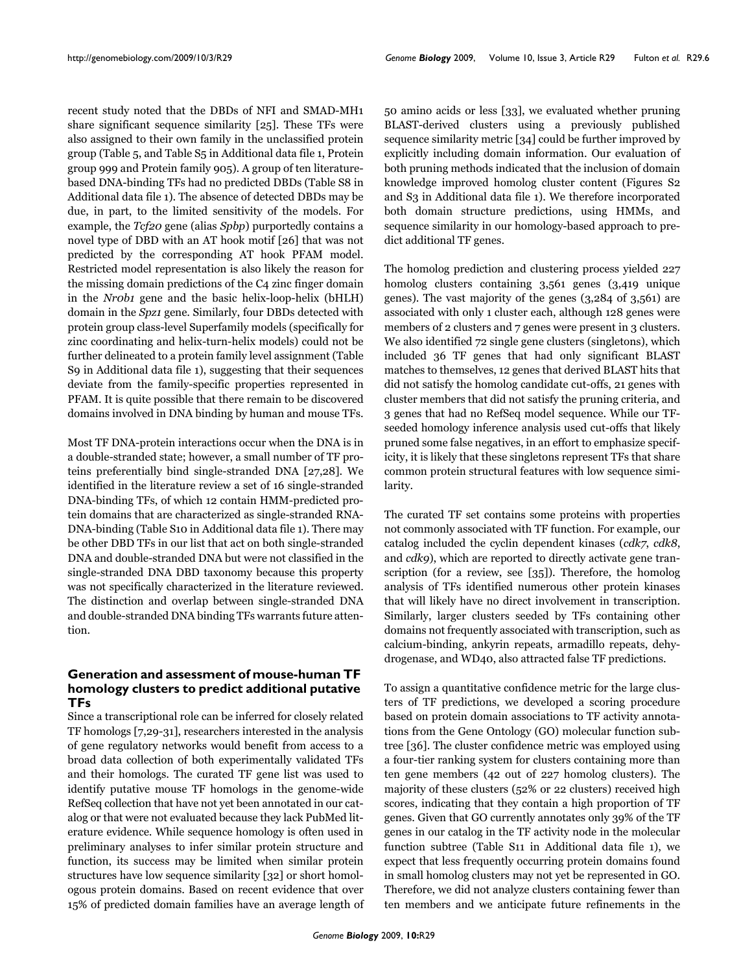recent study noted that the DBDs of NFI and SMAD-MH1 share significant sequence similarity [25]. These TFs were also assigned to their own family in the unclassified protein group (Table 5, and Table S5 in Additional data file 1, Protein group 999 and Protein family 905). A group of ten literaturebased DNA-binding TFs had no predicted DBDs (Table S8 in Additional data file 1). The absence of detected DBDs may be due, in part, to the limited sensitivity of the models. For example, the *Tcf20* gene (alias *Spbp*) purportedly contains a novel type of DBD with an AT hook motif [26] that was not predicted by the corresponding AT hook PFAM model. Restricted model representation is also likely the reason for the missing domain predictions of the C4 zinc finger domain in the *Nr0b1* gene and the basic helix-loop-helix (bHLH) domain in the *Spz1* gene. Similarly, four DBDs detected with protein group class-level Superfamily models (specifically for zinc coordinating and helix-turn-helix models) could not be further delineated to a protein family level assignment (Table S9 in Additional data file 1), suggesting that their sequences deviate from the family-specific properties represented in PFAM. It is quite possible that there remain to be discovered domains involved in DNA binding by human and mouse TFs.

Most TF DNA-protein interactions occur when the DNA is in a double-stranded state; however, a small number of TF proteins preferentially bind single-stranded DNA [27,28]. We identified in the literature review a set of 16 single-stranded DNA-binding TFs, of which 12 contain HMM-predicted protein domains that are characterized as single-stranded RNA-DNA-binding (Table S10 in Additional data file 1). There may be other DBD TFs in our list that act on both single-stranded DNA and double-stranded DNA but were not classified in the single-stranded DNA DBD taxonomy because this property was not specifically characterized in the literature reviewed. The distinction and overlap between single-stranded DNA and double-stranded DNA binding TFs warrants future attention.

# **Generation and assessment of mouse-human TF homology clusters to predict additional putative TFs**

Since a transcriptional role can be inferred for closely related TF homologs [7,29-31], researchers interested in the analysis of gene regulatory networks would benefit from access to a broad data collection of both experimentally validated TFs and their homologs. The curated TF gene list was used to identify putative mouse TF homologs in the genome-wide RefSeq collection that have not yet been annotated in our catalog or that were not evaluated because they lack PubMed literature evidence. While sequence homology is often used in preliminary analyses to infer similar protein structure and function, its success may be limited when similar protein structures have low sequence similarity [32] or short homologous protein domains. Based on recent evidence that over 15% of predicted domain families have an average length of 50 amino acids or less [33], we evaluated whether pruning BLAST-derived clusters using a previously published sequence similarity metric [34] could be further improved by explicitly including domain information. Our evaluation of both pruning methods indicated that the inclusion of domain knowledge improved homolog cluster content (Figures S2 and S3 in Additional data file 1). We therefore incorporated both domain structure predictions, using HMMs, and sequence similarity in our homology-based approach to predict additional TF genes.

The homolog prediction and clustering process yielded 227 homolog clusters containing 3,561 genes (3,419 unique genes). The vast majority of the genes (3,284 of 3,561) are associated with only 1 cluster each, although 128 genes were members of 2 clusters and 7 genes were present in 3 clusters. We also identified 72 single gene clusters (singletons), which included 36 TF genes that had only significant BLAST matches to themselves, 12 genes that derived BLAST hits that did not satisfy the homolog candidate cut-offs, 21 genes with cluster members that did not satisfy the pruning criteria, and 3 genes that had no RefSeq model sequence. While our TFseeded homology inference analysis used cut-offs that likely pruned some false negatives, in an effort to emphasize specificity, it is likely that these singletons represent TFs that share common protein structural features with low sequence similarity.

The curated TF set contains some proteins with properties not commonly associated with TF function. For example, our catalog included the cyclin dependent kinases (*cdk7*, *cdk8*, and *cdk9*), which are reported to directly activate gene transcription (for a review, see [35]). Therefore, the homolog analysis of TFs identified numerous other protein kinases that will likely have no direct involvement in transcription. Similarly, larger clusters seeded by TFs containing other domains not frequently associated with transcription, such as calcium-binding, ankyrin repeats, armadillo repeats, dehydrogenase, and WD40, also attracted false TF predictions.

To assign a quantitative confidence metric for the large clusters of TF predictions, we developed a scoring procedure based on protein domain associations to TF activity annotations from the Gene Ontology (GO) molecular function subtree [36]. The cluster confidence metric was employed using a four-tier ranking system for clusters containing more than ten gene members (42 out of 227 homolog clusters). The majority of these clusters (52% or 22 clusters) received high scores, indicating that they contain a high proportion of TF genes. Given that GO currently annotates only 39% of the TF genes in our catalog in the TF activity node in the molecular function subtree (Table S11 in Additional data file 1), we expect that less frequently occurring protein domains found in small homolog clusters may not yet be represented in GO. Therefore, we did not analyze clusters containing fewer than ten members and we anticipate future refinements in the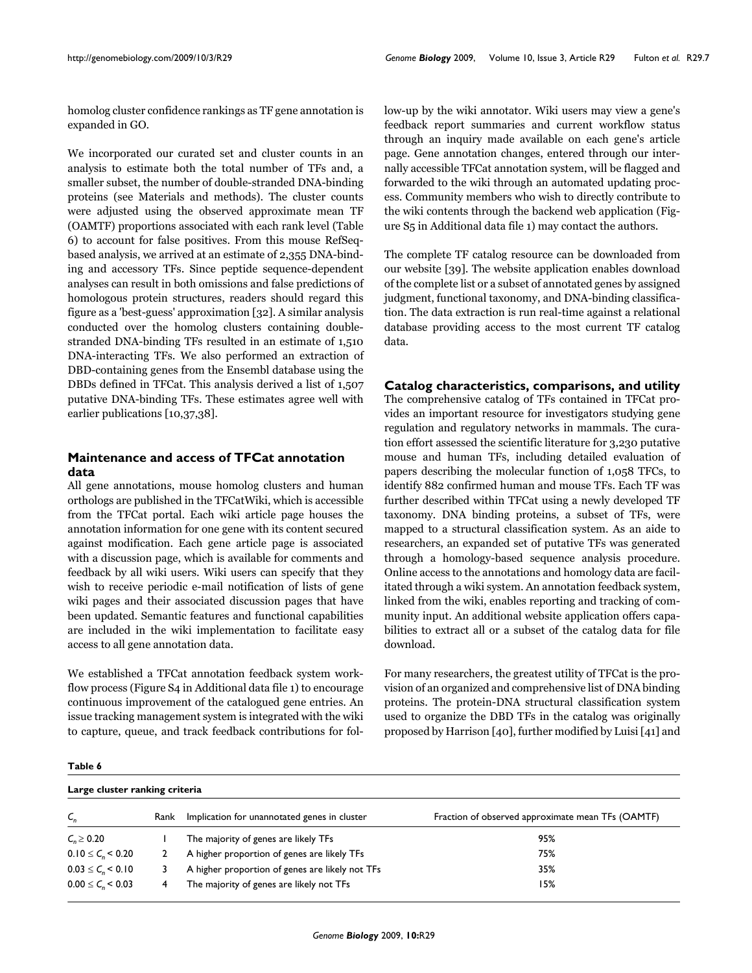homolog cluster confidence rankings as TF gene annotation is expanded in GO.

We incorporated our curated set and cluster counts in an analysis to estimate both the total number of TFs and, a smaller subset, the number of double-stranded DNA-binding proteins (see Materials and methods). The cluster counts were adjusted using the observed approximate mean TF (OAMTF) proportions associated with each rank level (Table 6) to account for false positives. From this mouse RefSeqbased analysis, we arrived at an estimate of 2,355 DNA-binding and accessory TFs. Since peptide sequence-dependent analyses can result in both omissions and false predictions of homologous protein structures, readers should regard this figure as a 'best-guess' approximation [32]. A similar analysis conducted over the homolog clusters containing doublestranded DNA-binding TFs resulted in an estimate of 1,510 DNA-interacting TFs. We also performed an extraction of DBD-containing genes from the Ensembl database using the DBDs defined in TFCat. This analysis derived a list of 1,507 putative DNA-binding TFs. These estimates agree well with earlier publications [10,37,38].

# **Maintenance and access of TFCat annotation data**

All gene annotations, mouse homolog clusters and human orthologs are published in the TFCatWiki, which is accessible from the TFCat portal. Each wiki article page houses the annotation information for one gene with its content secured against modification. Each gene article page is associated with a discussion page, which is available for comments and feedback by all wiki users. Wiki users can specify that they wish to receive periodic e-mail notification of lists of gene wiki pages and their associated discussion pages that have been updated. Semantic features and functional capabilities are included in the wiki implementation to facilitate easy access to all gene annotation data.

We established a TFCat annotation feedback system workflow process (Figure S4 in Additional data file 1) to encourage continuous improvement of the catalogued gene entries. An issue tracking management system is integrated with the wiki to capture, queue, and track feedback contributions for follow-up by the wiki annotator. Wiki users may view a gene's feedback report summaries and current workflow status through an inquiry made available on each gene's article page. Gene annotation changes, entered through our internally accessible TFCat annotation system, will be flagged and forwarded to the wiki through an automated updating process. Community members who wish to directly contribute to the wiki contents through the backend web application (Figure S5 in Additional data file 1) may contact the authors.

The complete TF catalog resource can be downloaded from our website [39]. The website application enables download of the complete list or a subset of annotated genes by assigned judgment, functional taxonomy, and DNA-binding classification. The data extraction is run real-time against a relational database providing access to the most current TF catalog data.

**Catalog characteristics, comparisons, and utility** The comprehensive catalog of TFs contained in TFCat provides an important resource for investigators studying gene regulation and regulatory networks in mammals. The curation effort assessed the scientific literature for 3,230 putative mouse and human TFs, including detailed evaluation of papers describing the molecular function of 1,058 TFCs, to identify 882 confirmed human and mouse TFs. Each TF was further described within TFCat using a newly developed TF taxonomy. DNA binding proteins, a subset of TFs, were mapped to a structural classification system. As an aide to researchers, an expanded set of putative TFs was generated through a homology-based sequence analysis procedure. Online access to the annotations and homology data are facilitated through a wiki system. An annotation feedback system, linked from the wiki, enables reporting and tracking of community input. An additional website application offers capabilities to extract all or a subset of the catalog data for file download.

For many researchers, the greatest utility of TFCat is the provision of an organized and comprehensive list of DNA binding proteins. The protein-DNA structural classification system used to organize the DBD TFs in the catalog was originally proposed by Harrison [40], further modified by Luisi [41] and

**Table 6**

**Large cluster ranking criteria**

| Large cluster ranking criteria |      |                                                 |                                                   |  |
|--------------------------------|------|-------------------------------------------------|---------------------------------------------------|--|
| $C_{n}$                        | Rank | Implication for unannotated genes in cluster    | Fraction of observed approximate mean TFs (OAMTF) |  |
| $C_n \ge 0.20$                 |      | The majority of genes are likely TFs            | 95%                                               |  |
| $0.10 \le C_{\rm o} \le 0.20$  |      | A higher proportion of genes are likely TFs     | 75%                                               |  |
| $0.03 \le C_n \le 0.10$        |      | A higher proportion of genes are likely not TFs | 35%                                               |  |
| $0.00 \le C_{\rm g}$ < 0.03    |      | The majority of genes are likely not TFs        | 15%                                               |  |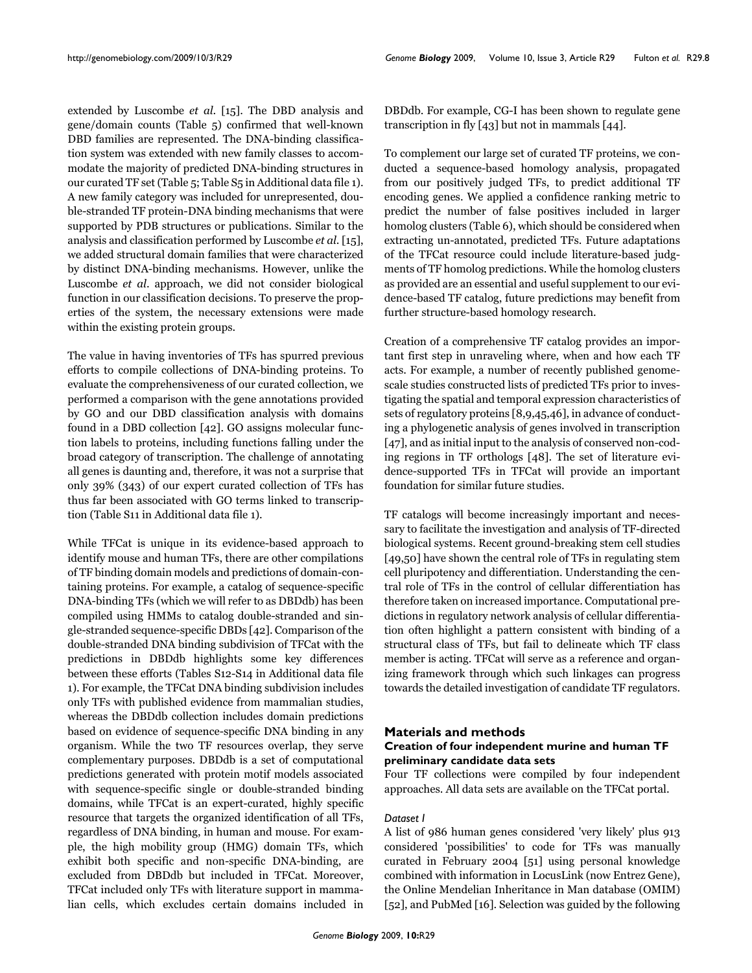extended by Luscombe *et al*. [15]. The DBD analysis and gene/domain counts (Table 5) confirmed that well-known DBD families are represented. The DNA-binding classification system was extended with new family classes to accommodate the majority of predicted DNA-binding structures in our curated TF set (Table 5; Table S5 in Additional data file 1). A new family category was included for unrepresented, double-stranded TF protein-DNA binding mechanisms that were supported by PDB structures or publications. Similar to the analysis and classification performed by Luscombe *et al*. [15], we added structural domain families that were characterized by distinct DNA-binding mechanisms. However, unlike the Luscombe *et al*. approach, we did not consider biological function in our classification decisions. To preserve the properties of the system, the necessary extensions were made within the existing protein groups.

The value in having inventories of TFs has spurred previous efforts to compile collections of DNA-binding proteins. To evaluate the comprehensiveness of our curated collection, we performed a comparison with the gene annotations provided by GO and our DBD classification analysis with domains found in a DBD collection [42]. GO assigns molecular function labels to proteins, including functions falling under the broad category of transcription. The challenge of annotating all genes is daunting and, therefore, it was not a surprise that only 39% (343) of our expert curated collection of TFs has thus far been associated with GO terms linked to transcription (Table S11 in Additional data file 1).

While TFCat is unique in its evidence-based approach to identify mouse and human TFs, there are other compilations of TF binding domain models and predictions of domain-containing proteins. For example, a catalog of sequence-specific DNA-binding TFs (which we will refer to as DBDdb) has been compiled using HMMs to catalog double-stranded and single-stranded sequence-specific DBDs [42]. Comparison of the double-stranded DNA binding subdivision of TFCat with the predictions in DBDdb highlights some key differences between these efforts (Tables S12-S14 in Additional data file 1). For example, the TFCat DNA binding subdivision includes only TFs with published evidence from mammalian studies, whereas the DBDdb collection includes domain predictions based on evidence of sequence-specific DNA binding in any organism. While the two TF resources overlap, they serve complementary purposes. DBDdb is a set of computational predictions generated with protein motif models associated with sequence-specific single or double-stranded binding domains, while TFCat is an expert-curated, highly specific resource that targets the organized identification of all TFs, regardless of DNA binding, in human and mouse. For example, the high mobility group (HMG) domain TFs, which exhibit both specific and non-specific DNA-binding, are excluded from DBDdb but included in TFCat. Moreover, TFCat included only TFs with literature support in mammalian cells, which excludes certain domains included in

DBDdb. For example, CG-I has been shown to regulate gene transcription in fly [43] but not in mammals [44].

To complement our large set of curated TF proteins, we conducted a sequence-based homology analysis, propagated from our positively judged TFs, to predict additional TF encoding genes. We applied a confidence ranking metric to predict the number of false positives included in larger homolog clusters (Table 6), which should be considered when extracting un-annotated, predicted TFs. Future adaptations of the TFCat resource could include literature-based judgments of TF homolog predictions. While the homolog clusters as provided are an essential and useful supplement to our evidence-based TF catalog, future predictions may benefit from further structure-based homology research.

Creation of a comprehensive TF catalog provides an important first step in unraveling where, when and how each TF acts. For example, a number of recently published genomescale studies constructed lists of predicted TFs prior to investigating the spatial and temporal expression characteristics of sets of regulatory proteins [8,9,45,46], in advance of conducting a phylogenetic analysis of genes involved in transcription [47], and as initial input to the analysis of conserved non-coding regions in TF orthologs [48]. The set of literature evidence-supported TFs in TFCat will provide an important foundation for similar future studies.

TF catalogs will become increasingly important and necessary to facilitate the investigation and analysis of TF-directed biological systems. Recent ground-breaking stem cell studies [49,50] have shown the central role of TFs in regulating stem cell pluripotency and differentiation. Understanding the central role of TFs in the control of cellular differentiation has therefore taken on increased importance. Computational predictions in regulatory network analysis of cellular differentiation often highlight a pattern consistent with binding of a structural class of TFs, but fail to delineate which TF class member is acting. TFCat will serve as a reference and organizing framework through which such linkages can progress towards the detailed investigation of candidate TF regulators.

# **Materials and methods**

# **Creation of four independent murine and human TF preliminary candidate data sets**

Four TF collections were compiled by four independent approaches. All data sets are available on the TFCat portal.

# *Dataset I*

A list of 986 human genes considered 'very likely' plus 913 considered 'possibilities' to code for TFs was manually curated in February 2004 [51] using personal knowledge combined with information in LocusLink (now Entrez Gene), the Online Mendelian Inheritance in Man database (OMIM) [52], and PubMed [16]. Selection was guided by the following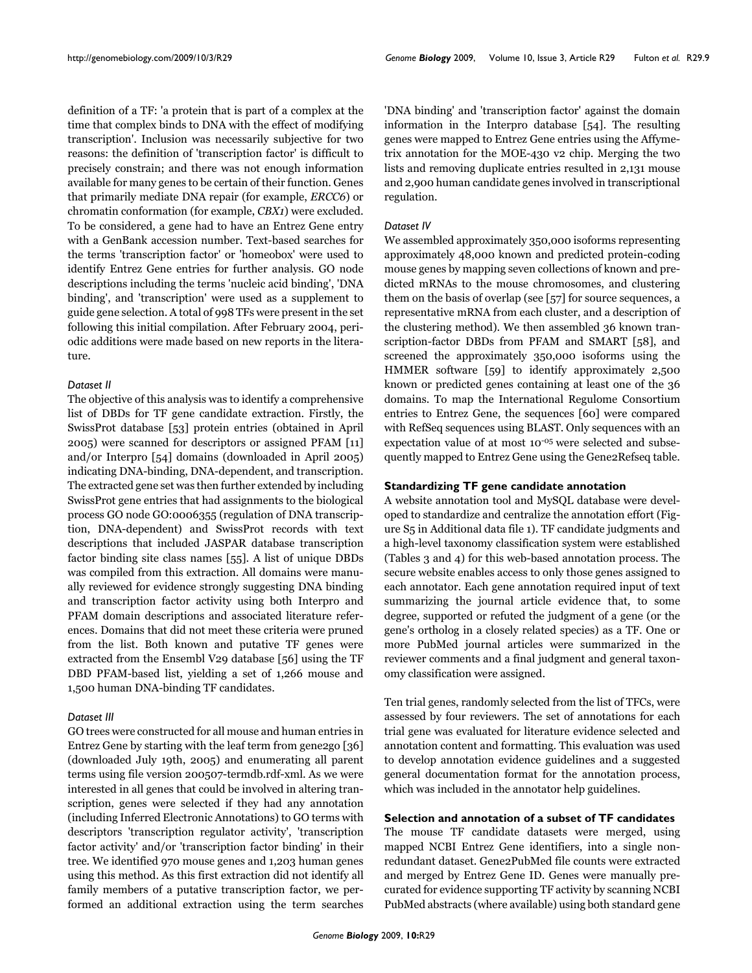definition of a TF: 'a protein that is part of a complex at the time that complex binds to DNA with the effect of modifying transcription'. Inclusion was necessarily subjective for two reasons: the definition of 'transcription factor' is difficult to precisely constrain; and there was not enough information available for many genes to be certain of their function. Genes that primarily mediate DNA repair (for example, *ERCC6*) or chromatin conformation (for example, *CBX1*) were excluded. To be considered, a gene had to have an Entrez Gene entry with a GenBank accession number. Text-based searches for the terms 'transcription factor' or 'homeobox' were used to identify Entrez Gene entries for further analysis. GO node descriptions including the terms 'nucleic acid binding', 'DNA binding', and 'transcription' were used as a supplement to guide gene selection. A total of 998 TFs were present in the set following this initial compilation. After February 2004, periodic additions were made based on new reports in the literature.

### *Dataset II*

The objective of this analysis was to identify a comprehensive list of DBDs for TF gene candidate extraction. Firstly, the SwissProt database [53] protein entries (obtained in April 2005) were scanned for descriptors or assigned PFAM [11] and/or Interpro [54] domains (downloaded in April 2005) indicating DNA-binding, DNA-dependent, and transcription. The extracted gene set was then further extended by including SwissProt gene entries that had assignments to the biological process GO node GO:0006355 (regulation of DNA transcription, DNA-dependent) and SwissProt records with text descriptions that included JASPAR database transcription factor binding site class names [55]. A list of unique DBDs was compiled from this extraction. All domains were manually reviewed for evidence strongly suggesting DNA binding and transcription factor activity using both Interpro and PFAM domain descriptions and associated literature references. Domains that did not meet these criteria were pruned from the list. Both known and putative TF genes were extracted from the Ensembl V29 database [56] using the TF DBD PFAM-based list, yielding a set of 1,266 mouse and 1,500 human DNA-binding TF candidates.

# *Dataset III*

GO trees were constructed for all mouse and human entries in Entrez Gene by starting with the leaf term from gene2go [36] (downloaded July 19th, 2005) and enumerating all parent terms using file version 200507-termdb.rdf-xml. As we were interested in all genes that could be involved in altering transcription, genes were selected if they had any annotation (including Inferred Electronic Annotations) to GO terms with descriptors 'transcription regulator activity', 'transcription factor activity' and/or 'transcription factor binding' in their tree. We identified 970 mouse genes and 1,203 human genes using this method. As this first extraction did not identify all family members of a putative transcription factor, we performed an additional extraction using the term searches

'DNA binding' and 'transcription factor' against the domain information in the Interpro database [54]. The resulting genes were mapped to Entrez Gene entries using the Affymetrix annotation for the MOE-430 v2 chip. Merging the two lists and removing duplicate entries resulted in 2,131 mouse and 2,900 human candidate genes involved in transcriptional regulation.

### *Dataset IV*

We assembled approximately 350,000 isoforms representing approximately 48,000 known and predicted protein-coding mouse genes by mapping seven collections of known and predicted mRNAs to the mouse chromosomes, and clustering them on the basis of overlap (see [57] for source sequences, a representative mRNA from each cluster, and a description of the clustering method). We then assembled 36 known transcription-factor DBDs from PFAM and SMART [58], and screened the approximately 350,000 isoforms using the HMMER software [59] to identify approximately 2,500 known or predicted genes containing at least one of the 36 domains. To map the International Regulome Consortium entries to Entrez Gene, the sequences [60] were compared with RefSeq sequences using BLAST. Only sequences with an expectation value of at most 10-05 were selected and subsequently mapped to Entrez Gene using the Gene2Refseq table.

### **Standardizing TF gene candidate annotation**

A website annotation tool and MySQL database were developed to standardize and centralize the annotation effort (Figure S5 in Additional data file 1). TF candidate judgments and a high-level taxonomy classification system were established (Tables 3 and 4) for this web-based annotation process. The secure website enables access to only those genes assigned to each annotator. Each gene annotation required input of text summarizing the journal article evidence that, to some degree, supported or refuted the judgment of a gene (or the gene's ortholog in a closely related species) as a TF. One or more PubMed journal articles were summarized in the reviewer comments and a final judgment and general taxonomy classification were assigned.

Ten trial genes, randomly selected from the list of TFCs, were assessed by four reviewers. The set of annotations for each trial gene was evaluated for literature evidence selected and annotation content and formatting. This evaluation was used to develop annotation evidence guidelines and a suggested general documentation format for the annotation process, which was included in the annotator help guidelines.

# **Selection and annotation of a subset of TF candidates**

The mouse TF candidate datasets were merged, using mapped NCBI Entrez Gene identifiers, into a single nonredundant dataset. Gene2PubMed file counts were extracted and merged by Entrez Gene ID. Genes were manually precurated for evidence supporting TF activity by scanning NCBI PubMed abstracts (where available) using both standard gene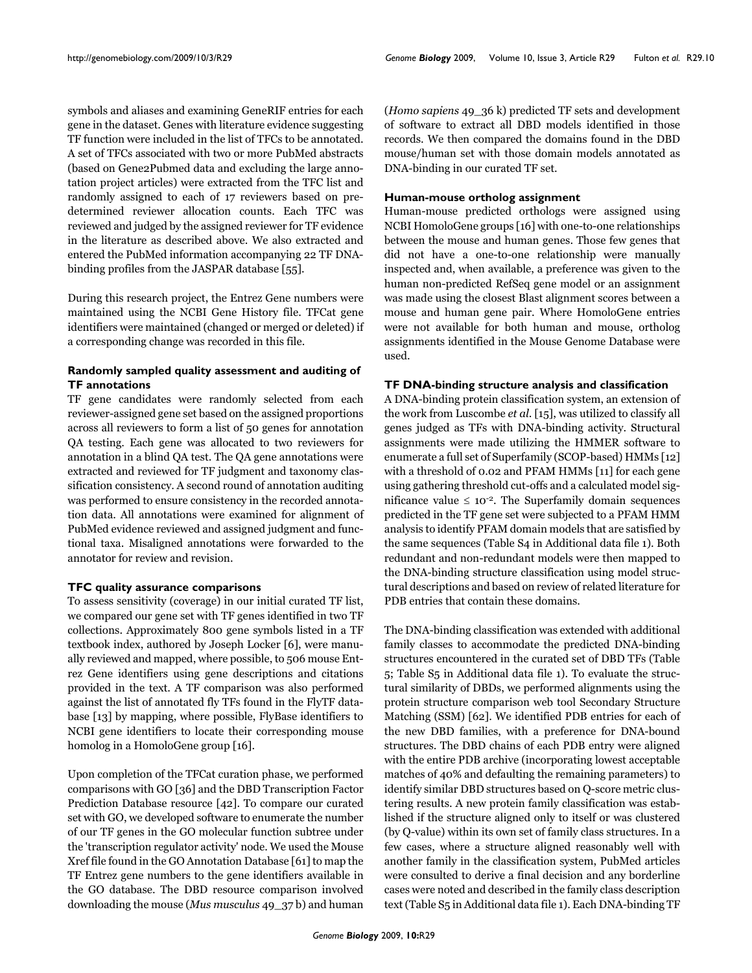symbols and aliases and examining GeneRIF entries for each gene in the dataset. Genes with literature evidence suggesting TF function were included in the list of TFCs to be annotated. A set of TFCs associated with two or more PubMed abstracts (based on Gene2Pubmed data and excluding the large annotation project articles) were extracted from the TFC list and randomly assigned to each of 17 reviewers based on predetermined reviewer allocation counts. Each TFC was reviewed and judged by the assigned reviewer for TF evidence in the literature as described above. We also extracted and entered the PubMed information accompanying 22 TF DNAbinding profiles from the JASPAR database [55].

During this research project, the Entrez Gene numbers were maintained using the NCBI Gene History file. TFCat gene identifiers were maintained (changed or merged or deleted) if a corresponding change was recorded in this file.

# **Randomly sampled quality assessment and auditing of TF annotations**

TF gene candidates were randomly selected from each reviewer-assigned gene set based on the assigned proportions across all reviewers to form a list of 50 genes for annotation QA testing. Each gene was allocated to two reviewers for annotation in a blind QA test. The QA gene annotations were extracted and reviewed for TF judgment and taxonomy classification consistency. A second round of annotation auditing was performed to ensure consistency in the recorded annotation data. All annotations were examined for alignment of PubMed evidence reviewed and assigned judgment and functional taxa. Misaligned annotations were forwarded to the annotator for review and revision.

# **TFC quality assurance comparisons**

To assess sensitivity (coverage) in our initial curated TF list, we compared our gene set with TF genes identified in two TF collections. Approximately 800 gene symbols listed in a TF textbook index, authored by Joseph Locker [6], were manually reviewed and mapped, where possible, to 506 mouse Entrez Gene identifiers using gene descriptions and citations provided in the text. A TF comparison was also performed against the list of annotated fly TFs found in the FlyTF database [13] by mapping, where possible, FlyBase identifiers to NCBI gene identifiers to locate their corresponding mouse homolog in a HomoloGene group [16].

Upon completion of the TFCat curation phase, we performed comparisons with GO [36] and the DBD Transcription Factor Prediction Database resource [42]. To compare our curated set with GO, we developed software to enumerate the number of our TF genes in the GO molecular function subtree under the 'transcription regulator activity' node. We used the Mouse Xref file found in the GO Annotation Database [61] to map the TF Entrez gene numbers to the gene identifiers available in the GO database. The DBD resource comparison involved downloading the mouse (*Mus musculus* 49\_37 b) and human

(*Homo sapiens* 49\_36 k) predicted TF sets and development of software to extract all DBD models identified in those records. We then compared the domains found in the DBD mouse/human set with those domain models annotated as DNA-binding in our curated TF set.

# **Human-mouse ortholog assignment**

Human-mouse predicted orthologs were assigned using NCBI HomoloGene groups [16] with one-to-one relationships between the mouse and human genes. Those few genes that did not have a one-to-one relationship were manually inspected and, when available, a preference was given to the human non-predicted RefSeq gene model or an assignment was made using the closest Blast alignment scores between a mouse and human gene pair. Where HomoloGene entries were not available for both human and mouse, ortholog assignments identified in the Mouse Genome Database were used.

#### **TF DNA-binding structure analysis and classification**

A DNA-binding protein classification system, an extension of the work from Luscombe *et al*. [15], was utilized to classify all genes judged as TFs with DNA-binding activity. Structural assignments were made utilizing the HMMER software to enumerate a full set of Superfamily (SCOP-based) HMMs [12] with a threshold of 0.02 and PFAM HMMs [11] for each gene using gathering threshold cut-offs and a calculated model significance value  $\leq 10^{-2}$ . The Superfamily domain sequences predicted in the TF gene set were subjected to a PFAM HMM analysis to identify PFAM domain models that are satisfied by the same sequences (Table S4 in Additional data file 1). Both redundant and non-redundant models were then mapped to the DNA-binding structure classification using model structural descriptions and based on review of related literature for PDB entries that contain these domains.

The DNA-binding classification was extended with additional family classes to accommodate the predicted DNA-binding structures encountered in the curated set of DBD TFs (Table 5; Table S5 in Additional data file 1). To evaluate the structural similarity of DBDs, we performed alignments using the protein structure comparison web tool Secondary Structure Matching (SSM) [62]. We identified PDB entries for each of the new DBD families, with a preference for DNA-bound structures. The DBD chains of each PDB entry were aligned with the entire PDB archive (incorporating lowest acceptable matches of 40% and defaulting the remaining parameters) to identify similar DBD structures based on Q-score metric clustering results. A new protein family classification was established if the structure aligned only to itself or was clustered (by Q-value) within its own set of family class structures. In a few cases, where a structure aligned reasonably well with another family in the classification system, PubMed articles were consulted to derive a final decision and any borderline cases were noted and described in the family class description text (Table S5 in Additional data file 1). Each DNA-binding TF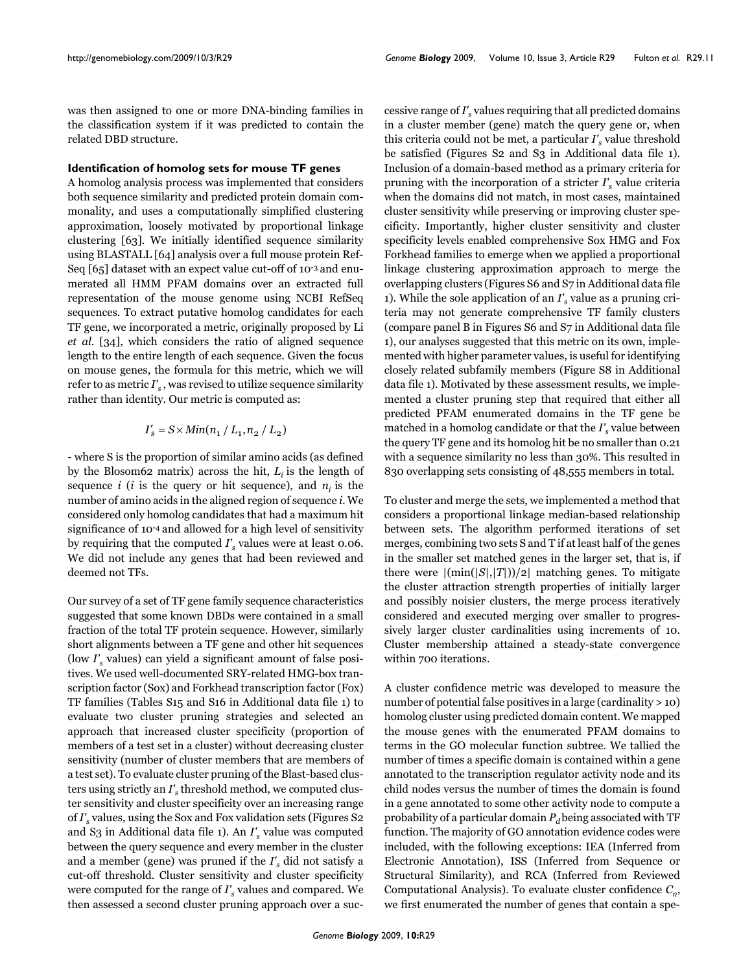was then assigned to one or more DNA-binding families in the classification system if it was predicted to contain the related DBD structure.

#### **Identification of homolog sets for mouse TF genes**

A homolog analysis process was implemented that considers both sequence similarity and predicted protein domain commonality, and uses a computationally simplified clustering approximation, loosely motivated by proportional linkage clustering [63]. We initially identified sequence similarity using BLASTALL [64] analysis over a full mouse protein Ref-Seq [65] dataset with an expect value cut-off of 10-3 and enumerated all HMM PFAM domains over an extracted full representation of the mouse genome using NCBI RefSeq sequences. To extract putative homolog candidates for each TF gene, we incorporated a metric, originally proposed by Li *et al*. [34], which considers the ratio of aligned sequence length to the entire length of each sequence. Given the focus on mouse genes, the formula for this metric, which we will refer to as metric  $I'_{s}$ , was revised to utilize sequence similarity rather than identity. Our metric is computed as:

$$
I'_s = S \times Min(n_1 / L_1, n_2 / L_2)
$$

- where S is the proportion of similar amino acids (as defined by the Blosom62 matrix) across the hit,  $L_i$  is the length of sequence  $i$  ( $i$  is the query or hit sequence), and  $n_i$  is the number of amino acids in the aligned region of sequence *i*. We considered only homolog candidates that had a maximum hit significance of 10-4 and allowed for a high level of sensitivity by requiring that the computed  $I'_s$  values were at least 0.06. We did not include any genes that had been reviewed and deemed not TFs.

Our survey of a set of TF gene family sequence characteristics suggested that some known DBDs were contained in a small fraction of the total TF protein sequence. However, similarly short alignments between a TF gene and other hit sequences (low *I's* values) can yield a significant amount of false positives. We used well-documented SRY-related HMG-box transcription factor (Sox) and Forkhead transcription factor (Fox) TF families (Tables S15 and S16 in Additional data file 1) to evaluate two cluster pruning strategies and selected an approach that increased cluster specificity (proportion of members of a test set in a cluster) without decreasing cluster sensitivity (number of cluster members that are members of a test set). To evaluate cluster pruning of the Blast-based clusters using strictly an *I's* threshold method, we computed cluster sensitivity and cluster specificity over an increasing range of *I's* values, using the Sox and Fox validation sets (Figures S2 and S3 in Additional data file 1). An *I's* value was computed between the query sequence and every member in the cluster and a member (gene) was pruned if the *I's* did not satisfy a cut-off threshold. Cluster sensitivity and cluster specificity were computed for the range of *I's* values and compared. We then assessed a second cluster pruning approach over a successive range of *I's* values requiring that all predicted domains in a cluster member (gene) match the query gene or, when this criteria could not be met, a particular  $I'_{s}$  value threshold be satisfied (Figures S2 and S3 in Additional data file 1). Inclusion of a domain-based method as a primary criteria for pruning with the incorporation of a stricter *I's* value criteria when the domains did not match, in most cases, maintained cluster sensitivity while preserving or improving cluster specificity. Importantly, higher cluster sensitivity and cluster specificity levels enabled comprehensive Sox HMG and Fox Forkhead families to emerge when we applied a proportional linkage clustering approximation approach to merge the overlapping clusters (Figures S6 and S7 in Additional data file 1). While the sole application of an *I's* value as a pruning criteria may not generate comprehensive TF family clusters (compare panel B in Figures S6 and S7 in Additional data file 1), our analyses suggested that this metric on its own, implemented with higher parameter values, is useful for identifying closely related subfamily members (Figure S8 in Additional data file 1). Motivated by these assessment results, we implemented a cluster pruning step that required that either all predicted PFAM enumerated domains in the TF gene be matched in a homolog candidate or that the *I's* value between the query TF gene and its homolog hit be no smaller than 0.21 with a sequence similarity no less than 30%. This resulted in 830 overlapping sets consisting of 48,555 members in total.

To cluster and merge the sets, we implemented a method that considers a proportional linkage median-based relationship between sets. The algorithm performed iterations of set merges, combining two sets S and T if at least half of the genes in the smaller set matched genes in the larger set, that is, if there were  $|(\min(|S|,|T|))/2|$  matching genes. To mitigate the cluster attraction strength properties of initially larger and possibly noisier clusters, the merge process iteratively considered and executed merging over smaller to progressively larger cluster cardinalities using increments of 10. Cluster membership attained a steady-state convergence within 700 iterations.

A cluster confidence metric was developed to measure the number of potential false positives in a large (cardinality > 10) homolog cluster using predicted domain content. We mapped the mouse genes with the enumerated PFAM domains to terms in the GO molecular function subtree. We tallied the number of times a specific domain is contained within a gene annotated to the transcription regulator activity node and its child nodes versus the number of times the domain is found in a gene annotated to some other activity node to compute a probability of a particular domain  $P_d$  being associated with TF function. The majority of GO annotation evidence codes were included, with the following exceptions: IEA (Inferred from Electronic Annotation), ISS (Inferred from Sequence or Structural Similarity), and RCA (Inferred from Reviewed Computational Analysis). To evaluate cluster confidence *Cn*, we first enumerated the number of genes that contain a spe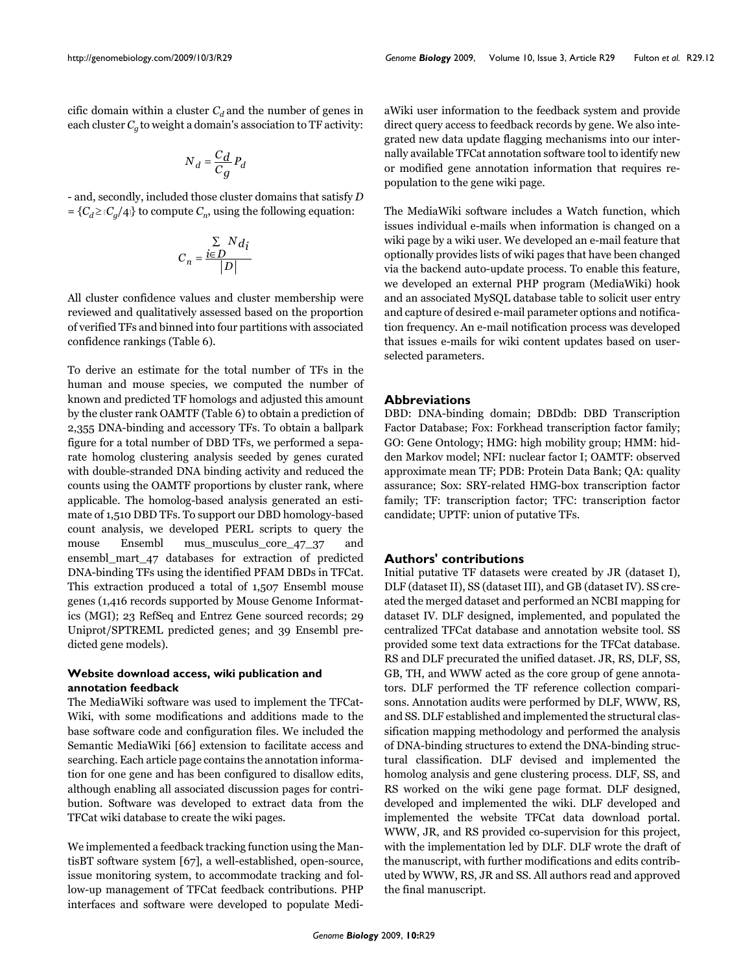cific domain within a cluster  $C_d$  and the number of genes in each cluster  $C_a$  to weight a domain's association to TF activity:

$$
N_d = \frac{C_d}{C_g} P_d
$$

- and, secondly, included those cluster domains that satisfy *D*  $= {C_d \geq C_q/4}$  to compute  $C_n$ , using the following equation:

$$
C_n = \frac{\sum\limits_{i \in D} N d_i}{|D|}
$$

All cluster confidence values and cluster membership were reviewed and qualitatively assessed based on the proportion of verified TFs and binned into four partitions with associated confidence rankings (Table 6).

To derive an estimate for the total number of TFs in the human and mouse species, we computed the number of known and predicted TF homologs and adjusted this amount by the cluster rank OAMTF (Table 6) to obtain a prediction of 2,355 DNA-binding and accessory TFs. To obtain a ballpark figure for a total number of DBD TFs, we performed a separate homolog clustering analysis seeded by genes curated with double-stranded DNA binding activity and reduced the counts using the OAMTF proportions by cluster rank, where applicable. The homolog-based analysis generated an estimate of 1,510 DBD TFs. To support our DBD homology-based count analysis, we developed PERL scripts to query the mouse Ensembl mus musculus core 47.37 and ensembl\_mart\_47 databases for extraction of predicted DNA-binding TFs using the identified PFAM DBDs in TFCat. This extraction produced a total of 1,507 Ensembl mouse genes (1,416 records supported by Mouse Genome Informatics (MGI); 23 RefSeq and Entrez Gene sourced records; 29 Uniprot/SPTREML predicted genes; and 39 Ensembl predicted gene models).

# **Website download access, wiki publication and annotation feedback**

The MediaWiki software was used to implement the TFCat-Wiki, with some modifications and additions made to the base software code and configuration files. We included the Semantic MediaWiki [66] extension to facilitate access and searching. Each article page contains the annotation information for one gene and has been configured to disallow edits, although enabling all associated discussion pages for contribution. Software was developed to extract data from the TFCat wiki database to create the wiki pages.

We implemented a feedback tracking function using the MantisBT software system [67], a well-established, open-source, issue monitoring system, to accommodate tracking and follow-up management of TFCat feedback contributions. PHP interfaces and software were developed to populate MediaWiki user information to the feedback system and provide direct query access to feedback records by gene. We also integrated new data update flagging mechanisms into our internally available TFCat annotation software tool to identify new or modified gene annotation information that requires repopulation to the gene wiki page.

The MediaWiki software includes a Watch function, which issues individual e-mails when information is changed on a wiki page by a wiki user. We developed an e-mail feature that optionally provides lists of wiki pages that have been changed via the backend auto-update process. To enable this feature, we developed an external PHP program (MediaWiki) hook and an associated MySQL database table to solicit user entry and capture of desired e-mail parameter options and notification frequency. An e-mail notification process was developed that issues e-mails for wiki content updates based on userselected parameters.

### **Abbreviations**

DBD: DNA-binding domain; DBDdb: DBD Transcription Factor Database; Fox: Forkhead transcription factor family; GO: Gene Ontology; HMG: high mobility group; HMM: hidden Markov model; NFI: nuclear factor I; OAMTF: observed approximate mean TF; PDB: Protein Data Bank; QA: quality assurance; Sox: SRY-related HMG-box transcription factor family; TF: transcription factor; TFC: transcription factor candidate; UPTF: union of putative TFs.

#### **Authors' contributions**

Initial putative TF datasets were created by JR (dataset I), DLF (dataset II), SS (dataset III), and GB (dataset IV). SS created the merged dataset and performed an NCBI mapping for dataset IV. DLF designed, implemented, and populated the centralized TFCat database and annotation website tool. SS provided some text data extractions for the TFCat database. RS and DLF precurated the unified dataset. JR, RS, DLF, SS, GB, TH, and WWW acted as the core group of gene annotators. DLF performed the TF reference collection comparisons. Annotation audits were performed by DLF, WWW, RS, and SS. DLF established and implemented the structural classification mapping methodology and performed the analysis of DNA-binding structures to extend the DNA-binding structural classification. DLF devised and implemented the homolog analysis and gene clustering process. DLF, SS, and RS worked on the wiki gene page format. DLF designed, developed and implemented the wiki. DLF developed and implemented the website TFCat data download portal. WWW, JR, and RS provided co-supervision for this project, with the implementation led by DLF. DLF wrote the draft of the manuscript, with further modifications and edits contributed by WWW, RS, JR and SS. All authors read and approved the final manuscript.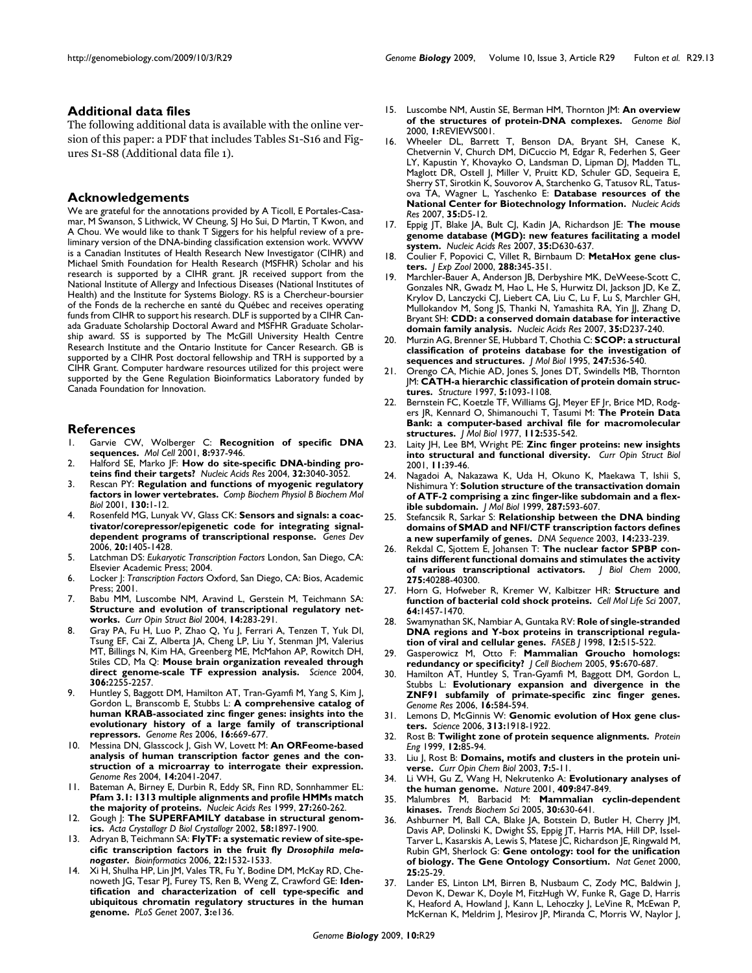#### **Additional data files**

The following additional data is available with the online version of this paper: a PDF that includes Tables S1-S16 and Figures S1-S8 (Additional data file 1).

#### **Acknowledgements**

We are grateful for the annotations provided by A Ticoll, E Portales-Casamar, M Swanson, S Lithwick, W Cheung, SJ Ho Sui, D Martin, T Kwon, and A Chou. We would like to thank T Siggers for his helpful review of a preliminary version of the DNA-binding classification extension work. WWW is a Canadian Institutes of Health Research New Investigator (CIHR) and Michael Smith Foundation for Health Research (MSFHR) Scholar and his research is supported by a CIHR grant. JR received support from the National Institute of Allergy and Infectious Diseases (National Institutes of Health) and the Institute for Systems Biology. RS is a Chercheur-boursier of the Fonds de la recherche en santé du Québec and receives operating funds from CIHR to support his research. DLF is supported by a CIHR Canada Graduate Scholarship Doctoral Award and MSFHR Graduate Scholarship award. SS is supported by The McGill University Health Centre Research Institute and the Ontario Institute for Cancer Research. GB is supported by a CIHR Post doctoral fellowship and TRH is supported by a CIHR Grant. Computer hardware resources utilized for this project were supported by the Gene Regulation Bioinformatics Laboratory funded by Canada Foundation for Innovation.

#### **References**

- 1. Garvie CW, Wolberger C: **[Recognition of specific DNA](http://www.ncbi.nlm.nih.gov/entrez/query.fcgi?cmd=Retrieve&db=PubMed&dopt=Abstract&list_uids=11741530) [sequences.](http://www.ncbi.nlm.nih.gov/entrez/query.fcgi?cmd=Retrieve&db=PubMed&dopt=Abstract&list_uids=11741530)** *Mol Cell* 2001, **8:**937-946.
- Halford SE, Marko JF: [How do site-specific DNA-binding pro](http://www.ncbi.nlm.nih.gov/entrez/query.fcgi?cmd=Retrieve&db=PubMed&dopt=Abstract&list_uids=15178741)**[teins find their targets?](http://www.ncbi.nlm.nih.gov/entrez/query.fcgi?cmd=Retrieve&db=PubMed&dopt=Abstract&list_uids=15178741)** *Nucleic Acids Res* 2004, **32:**3040-3052.
- 3. Rescan PY: **[Regulation and functions of myogenic regulatory](http://www.ncbi.nlm.nih.gov/entrez/query.fcgi?cmd=Retrieve&db=PubMed&dopt=Abstract&list_uids=11470439) [factors in lower vertebrates.](http://www.ncbi.nlm.nih.gov/entrez/query.fcgi?cmd=Retrieve&db=PubMed&dopt=Abstract&list_uids=11470439)** *Comp Biochem Physiol B Biochem Mol Biol* 2001, **130:**1-12.
- 4. Rosenfeld MG, Lunyak VV, Glass CK: **[Sensors and signals: a coac](http://www.ncbi.nlm.nih.gov/entrez/query.fcgi?cmd=Retrieve&db=PubMed&dopt=Abstract&list_uids=16751179)[tivator/corepressor/epigenetic code for integrating signal](http://www.ncbi.nlm.nih.gov/entrez/query.fcgi?cmd=Retrieve&db=PubMed&dopt=Abstract&list_uids=16751179)[dependent programs of transcriptional response.](http://www.ncbi.nlm.nih.gov/entrez/query.fcgi?cmd=Retrieve&db=PubMed&dopt=Abstract&list_uids=16751179)** *Genes Dev* 2006, **20:**1405-1428.
- 5. Latchman DS: *Eukaryotic Transcription Factors* London, San Diego, CA: Elsevier Academic Press; 2004.
- 6. Locker J: *Transcription Factors* Oxford, San Diego, CA: Bios, Academic Press; 2001.
- 7. Babu MM, Luscombe NM, Aravind L, Gerstein M, Teichmann SA: **[Structure and evolution of transcriptional regulatory net](http://www.ncbi.nlm.nih.gov/entrez/query.fcgi?cmd=Retrieve&db=PubMed&dopt=Abstract&list_uids=15193307)[works.](http://www.ncbi.nlm.nih.gov/entrez/query.fcgi?cmd=Retrieve&db=PubMed&dopt=Abstract&list_uids=15193307)** *Curr Opin Struct Biol* 2004, **14:**283-291.
- Gray PA, Fu H, Luo P, Zhao Q, Yu J, Ferrari A, Tenzen T, Yuk DI, Tsung EF, Cai Z, Alberta JA, Cheng LP, Liu Y, Stenman JM, Valerius MT, Billings N, Kim HA, Greenberg ME, McMahon AP, Rowitch DH, Stiles CD, Ma Q: **[Mouse brain organization revealed through](http://www.ncbi.nlm.nih.gov/entrez/query.fcgi?cmd=Retrieve&db=PubMed&dopt=Abstract&list_uids=15618518) [direct genome-scale TF expression analysis.](http://www.ncbi.nlm.nih.gov/entrez/query.fcgi?cmd=Retrieve&db=PubMed&dopt=Abstract&list_uids=15618518)** *Science* 2004, **306:**2255-2257.
- Huntley S, Baggott DM, Hamilton AT, Tran-Gyamfi M, Yang S, Kim J, Gordon L, Branscomb E, Stubbs L: **[A comprehensive catalog of](http://www.ncbi.nlm.nih.gov/entrez/query.fcgi?cmd=Retrieve&db=PubMed&dopt=Abstract&list_uids=16606702) [human KRAB-associated zinc finger genes: insights into the](http://www.ncbi.nlm.nih.gov/entrez/query.fcgi?cmd=Retrieve&db=PubMed&dopt=Abstract&list_uids=16606702) evolutionary history of a large family of transcriptional [repressors.](http://www.ncbi.nlm.nih.gov/entrez/query.fcgi?cmd=Retrieve&db=PubMed&dopt=Abstract&list_uids=16606702)** *Genome Res* 2006, **16:**669-677.
- 10. Messina DN, Glasscock J, Gish W, Lovett M: **[An ORFeome-based](http://www.ncbi.nlm.nih.gov/entrez/query.fcgi?cmd=Retrieve&db=PubMed&dopt=Abstract&list_uids=15489324) [analysis of human transcription factor genes and the con](http://www.ncbi.nlm.nih.gov/entrez/query.fcgi?cmd=Retrieve&db=PubMed&dopt=Abstract&list_uids=15489324)struction of a microarray to interrogate their expression.** *Genome Res* 2004, **14:**2041-2047.
- 11. Bateman A, Birney E, Durbin R, Eddy SR, Finn RD, Sonnhammer EL: **[Pfam 3.1: 1313 multiple alignments and profile HMMs match](http://www.ncbi.nlm.nih.gov/entrez/query.fcgi?cmd=Retrieve&db=PubMed&dopt=Abstract&list_uids=9847196) [the majority of proteins.](http://www.ncbi.nlm.nih.gov/entrez/query.fcgi?cmd=Retrieve&db=PubMed&dopt=Abstract&list_uids=9847196)** *Nucleic Acids Res* 1999, **27:**260-262.
- 12. Gough J: [The SUPERFAMILY database in structural genom](http://www.ncbi.nlm.nih.gov/entrez/query.fcgi?cmd=Retrieve&db=PubMed&dopt=Abstract&list_uids=12393919)**[ics.](http://www.ncbi.nlm.nih.gov/entrez/query.fcgi?cmd=Retrieve&db=PubMed&dopt=Abstract&list_uids=12393919)** *Acta Crystallogr D Biol Crystallogr* 2002, **58:**1897-1900.
- 13. Adryan B, Teichmann SA: **FlyTF: a systematic review of site-specific transcription factors in the fruit fly** *Drosophila melanogaster***[.](http://www.ncbi.nlm.nih.gov/entrez/query.fcgi?cmd=Retrieve&db=PubMed&dopt=Abstract&list_uids=16613907)** *Bioinformatics* 2006, **22:**1532-1533.
- 14. Xi H, Shulha HP, Lin JM, Vales TR, Fu Y, Bodine DM, McKay RD, Chenoweth JG, Tesar PJ, Furey TS, Ren B, Weng Z, Crawford GE: **[Iden](http://www.ncbi.nlm.nih.gov/entrez/query.fcgi?cmd=Retrieve&db=PubMed&dopt=Abstract&list_uids=17708682)[tification and characterization of cell type-specific and](http://www.ncbi.nlm.nih.gov/entrez/query.fcgi?cmd=Retrieve&db=PubMed&dopt=Abstract&list_uids=17708682) ubiquitous chromatin regulatory structures in the human [genome.](http://www.ncbi.nlm.nih.gov/entrez/query.fcgi?cmd=Retrieve&db=PubMed&dopt=Abstract&list_uids=17708682)** *PLoS Genet* 2007, **3:**e136.
- 15. Luscombe NM, Austin SE, Berman HM, Thornton JM: **[An overview](http://www.ncbi.nlm.nih.gov/entrez/query.fcgi?cmd=Retrieve&db=PubMed&dopt=Abstract&list_uids=11104519) [of the structures of protein-DNA complexes.](http://www.ncbi.nlm.nih.gov/entrez/query.fcgi?cmd=Retrieve&db=PubMed&dopt=Abstract&list_uids=11104519)** *Genome Biol* 2000, **1:**REVIEWS001.
- 16. Wheeler DL, Barrett T, Benson DA, Bryant SH, Canese K, Chetvernin V, Church DM, DiCuccio M, Edgar R, Federhen S, Geer LY, Kapustin Y, Khovayko O, Landsman D, Lipman DJ, Madden TL, Maglott DR, Ostell J, Miller V, Pruitt KD, Schuler GD, Sequeira E, Sherry ST, Sirotkin K, Souvorov A, Starchenko G, Tatusov RL, Tatusova TA, Wagner L, Yaschenko E: **[Database resources of the](http://www.ncbi.nlm.nih.gov/entrez/query.fcgi?cmd=Retrieve&db=PubMed&dopt=Abstract&list_uids=17170002) [National Center for Biotechnology Information.](http://www.ncbi.nlm.nih.gov/entrez/query.fcgi?cmd=Retrieve&db=PubMed&dopt=Abstract&list_uids=17170002)** *Nucleic Acids Res* 2007, **35:**D5-12.
- 17. Eppig JT, Blake JA, Bult CJ, Kadin JA, Richardson JE: **[The mouse](http://www.ncbi.nlm.nih.gov/entrez/query.fcgi?cmd=Retrieve&db=PubMed&dopt=Abstract&list_uids=17135206) [genome database \(MGD\): new features facilitating a model](http://www.ncbi.nlm.nih.gov/entrez/query.fcgi?cmd=Retrieve&db=PubMed&dopt=Abstract&list_uids=17135206) [system.](http://www.ncbi.nlm.nih.gov/entrez/query.fcgi?cmd=Retrieve&db=PubMed&dopt=Abstract&list_uids=17135206)** *Nucleic Acids Res* 2007, **35:**D630-637.
- 18. Coulier F, Popovici C, Villet R, Birnbaum D: **[MetaHox gene clus](http://www.ncbi.nlm.nih.gov/entrez/query.fcgi?cmd=Retrieve&db=PubMed&dopt=Abstract&list_uids=11144283)[ters.](http://www.ncbi.nlm.nih.gov/entrez/query.fcgi?cmd=Retrieve&db=PubMed&dopt=Abstract&list_uids=11144283)** *J Exp Zool* 2000, **288:**345-351.
- 19. Marchler-Bauer A, Anderson JB, Derbyshire MK, DeWeese-Scott C, Gonzales NR, Gwadz M, Hao L, He S, Hurwitz DI, Jackson JD, Ke Z, Krylov D, Lanczycki CJ, Liebert CA, Liu C, Lu F, Lu S, Marchler GH, Mullokandov M, Song JS, Thanki N, Yamashita RA, Yin JJ, Zhang D, Bryant SH: **[CDD: a conserved domain database for interactive](http://www.ncbi.nlm.nih.gov/entrez/query.fcgi?cmd=Retrieve&db=PubMed&dopt=Abstract&list_uids=17135202) [domain family analysis.](http://www.ncbi.nlm.nih.gov/entrez/query.fcgi?cmd=Retrieve&db=PubMed&dopt=Abstract&list_uids=17135202)** *Nucleic Acids Res* 2007, **35:**D237-240.
- 20. Murzin AG, Brenner SE, Hubbard T, Chothia C: **[SCOP: a structural](http://www.ncbi.nlm.nih.gov/entrez/query.fcgi?cmd=Retrieve&db=PubMed&dopt=Abstract&list_uids=7723011) [classification of proteins database for the investigation of](http://www.ncbi.nlm.nih.gov/entrez/query.fcgi?cmd=Retrieve&db=PubMed&dopt=Abstract&list_uids=7723011) [sequences and structures.](http://www.ncbi.nlm.nih.gov/entrez/query.fcgi?cmd=Retrieve&db=PubMed&dopt=Abstract&list_uids=7723011)** *J Mol Biol* 1995, **247:**536-540.
- 21. Orengo CA, Michie AD, Jones S, Jones DT, Swindells MB, Thornton JM: **[CATH-a hierarchic classification of protein domain struc](http://www.ncbi.nlm.nih.gov/entrez/query.fcgi?cmd=Retrieve&db=PubMed&dopt=Abstract&list_uids=9309224)[tures.](http://www.ncbi.nlm.nih.gov/entrez/query.fcgi?cmd=Retrieve&db=PubMed&dopt=Abstract&list_uids=9309224)** *Structure* 1997, **5:**1093-1108.
- 22. Bernstein FC, Koetzle TF, Williams GJ, Meyer EF Jr, Brice MD, Rodgers JR, Kennard O, Shimanouchi T, Tasumi M: **[The Protein Data](http://www.ncbi.nlm.nih.gov/entrez/query.fcgi?cmd=Retrieve&db=PubMed&dopt=Abstract&list_uids=875032) [Bank: a computer-based archival file for macromolecular](http://www.ncbi.nlm.nih.gov/entrez/query.fcgi?cmd=Retrieve&db=PubMed&dopt=Abstract&list_uids=875032) [structures.](http://www.ncbi.nlm.nih.gov/entrez/query.fcgi?cmd=Retrieve&db=PubMed&dopt=Abstract&list_uids=875032)** *J Mol Biol* 1977, **112:**535-542.
- 23. Laity JH, Lee BM, Wright PE: **[Zinc finger proteins: new insights](http://www.ncbi.nlm.nih.gov/entrez/query.fcgi?cmd=Retrieve&db=PubMed&dopt=Abstract&list_uids=11179890) [into structural and functional diversity.](http://www.ncbi.nlm.nih.gov/entrez/query.fcgi?cmd=Retrieve&db=PubMed&dopt=Abstract&list_uids=11179890)** *Curr Opin Struct Biol* 2001, **11:**39-46.
- 24. Nagadoi A, Nakazawa K, Uda H, Okuno K, Maekawa T, Ishii S, Nishimura Y: **[Solution structure of the transactivation domain](http://www.ncbi.nlm.nih.gov/entrez/query.fcgi?cmd=Retrieve&db=PubMed&dopt=Abstract&list_uids=10092462) [of ATF-2 comprising a zinc finger-like subdomain and a flex](http://www.ncbi.nlm.nih.gov/entrez/query.fcgi?cmd=Retrieve&db=PubMed&dopt=Abstract&list_uids=10092462)[ible subdomain.](http://www.ncbi.nlm.nih.gov/entrez/query.fcgi?cmd=Retrieve&db=PubMed&dopt=Abstract&list_uids=10092462)** *J Mol Biol* 1999, **287:**593-607.
- 25. Stefancsik R, Sarkar S: **[Relationship between the DNA binding](http://www.ncbi.nlm.nih.gov/entrez/query.fcgi?cmd=Retrieve&db=PubMed&dopt=Abstract&list_uids=14631647) [domains of SMAD and NFI/CTF transcription factors defines](http://www.ncbi.nlm.nih.gov/entrez/query.fcgi?cmd=Retrieve&db=PubMed&dopt=Abstract&list_uids=14631647) [a new superfamily of genes.](http://www.ncbi.nlm.nih.gov/entrez/query.fcgi?cmd=Retrieve&db=PubMed&dopt=Abstract&list_uids=14631647)** *DNA Sequence* 2003, **14:**233-239.
- Rekdal C, Sjottem E, Johansen T: The nuclear factor **SPBP** con**[tains different functional domains and stimulates the activity](http://www.ncbi.nlm.nih.gov/entrez/query.fcgi?cmd=Retrieve&db=PubMed&dopt=Abstract&list_uids=10995766) [of various transcriptional activators.](http://www.ncbi.nlm.nih.gov/entrez/query.fcgi?cmd=Retrieve&db=PubMed&dopt=Abstract&list_uids=10995766)** *J Biol Chem* 2000, **275:**40288-40300.
- 27. Horn G, Hofweber R, Kremer W, Kalbitzer HR: **[Structure and](http://www.ncbi.nlm.nih.gov/entrez/query.fcgi?cmd=Retrieve&db=PubMed&dopt=Abstract&list_uids=17437059) [function of bacterial cold shock proteins.](http://www.ncbi.nlm.nih.gov/entrez/query.fcgi?cmd=Retrieve&db=PubMed&dopt=Abstract&list_uids=17437059)** *Cell Mol Life Sci* 2007, **64:**1457-1470.
- 28. Swamynathan SK, Nambiar A, Guntaka RV: **[Role of single-stranded](http://www.ncbi.nlm.nih.gov/entrez/query.fcgi?cmd=Retrieve&db=PubMed&dopt=Abstract&list_uids=9576478)** [DNA regions and Y-box proteins in transcriptional regula](http://www.ncbi.nlm.nih.gov/entrez/query.fcgi?cmd=Retrieve&db=PubMed&dopt=Abstract&list_uids=9576478)**[tion of viral and cellular genes.](http://www.ncbi.nlm.nih.gov/entrez/query.fcgi?cmd=Retrieve&db=PubMed&dopt=Abstract&list_uids=9576478)** *FASEB J* 1998, **12:**515-522.
- 29. Gasperowicz M, Otto F: **[Mammalian Groucho homologs:](http://www.ncbi.nlm.nih.gov/entrez/query.fcgi?cmd=Retrieve&db=PubMed&dopt=Abstract&list_uids=15861397) [redundancy or specificity?](http://www.ncbi.nlm.nih.gov/entrez/query.fcgi?cmd=Retrieve&db=PubMed&dopt=Abstract&list_uids=15861397)** *J Cell Biochem* 2005, **95:**670-687.
- 30. Hamilton AT, Huntley S, Tran-Gyamfi M, Baggott DM, Gordon L, Stubbs L: **[Evolutionary expansion and divergence in the](http://www.ncbi.nlm.nih.gov/entrez/query.fcgi?cmd=Retrieve&db=PubMed&dopt=Abstract&list_uids=16606703) [ZNF91 subfamily of primate-specific zinc finger genes.](http://www.ncbi.nlm.nih.gov/entrez/query.fcgi?cmd=Retrieve&db=PubMed&dopt=Abstract&list_uids=16606703)** *Genome Res* 2006, **16:**584-594.
- 31. Lemons D, McGinnis W: **[Genomic evolution of Hox gene clus](http://www.ncbi.nlm.nih.gov/entrez/query.fcgi?cmd=Retrieve&db=PubMed&dopt=Abstract&list_uids=17008523)[ters.](http://www.ncbi.nlm.nih.gov/entrez/query.fcgi?cmd=Retrieve&db=PubMed&dopt=Abstract&list_uids=17008523)** *Science* 2006, **313:**1918-1922.
- 32. Rost B: **[Twilight zone of protein sequence alignments.](http://www.ncbi.nlm.nih.gov/entrez/query.fcgi?cmd=Retrieve&db=PubMed&dopt=Abstract&list_uids=10195279)** *Protein Eng* 1999, **12:**85-94.
- 33. Liu J, Rost B: **[Domains, motifs and clusters in the protein uni](http://www.ncbi.nlm.nih.gov/entrez/query.fcgi?cmd=Retrieve&db=PubMed&dopt=Abstract&list_uids=12547420)[verse.](http://www.ncbi.nlm.nih.gov/entrez/query.fcgi?cmd=Retrieve&db=PubMed&dopt=Abstract&list_uids=12547420)** *Curr Opin Chem Biol* 2003, **7:**5-11.
- 34. Li WH, Gu Z, Wang H, Nekrutenko A: **[Evolutionary analyses of](http://www.ncbi.nlm.nih.gov/entrez/query.fcgi?cmd=Retrieve&db=PubMed&dopt=Abstract&list_uids=11237007) [the human genome.](http://www.ncbi.nlm.nih.gov/entrez/query.fcgi?cmd=Retrieve&db=PubMed&dopt=Abstract&list_uids=11237007)** *Nature* 2001, **409:**847-849.
- 35. Malumbres M, Barbacid M: **[Mammalian cyclin-dependent](http://www.ncbi.nlm.nih.gov/entrez/query.fcgi?cmd=Retrieve&db=PubMed&dopt=Abstract&list_uids=16236519) [kinases.](http://www.ncbi.nlm.nih.gov/entrez/query.fcgi?cmd=Retrieve&db=PubMed&dopt=Abstract&list_uids=16236519)** *Trends Biochem Sci* 2005, **30:**630-641.
- 36. Ashburner M, Ball CA, Blake JA, Botstein D, Butler H, Cherry JM, Davis AP, Dolinski K, Dwight SS, Eppig JT, Harris MA, Hill DP, Issel-Tarver L, Kasarskis A, Lewis S, Matese JC, Richardson JE, Ringwald M, Rubin GM, Sherlock G: **[Gene ontology: tool for the unification](http://www.ncbi.nlm.nih.gov/entrez/query.fcgi?cmd=Retrieve&db=PubMed&dopt=Abstract&list_uids=10802651) [of biology. The Gene Ontology Consortium.](http://www.ncbi.nlm.nih.gov/entrez/query.fcgi?cmd=Retrieve&db=PubMed&dopt=Abstract&list_uids=10802651)** *Nat Genet* 2000, **25:**25-29.
- 37. Lander ES, Linton LM, Birren B, Nusbaum C, Zody MC, Baldwin J, Devon K, Dewar K, Doyle M, FitzHugh W, Funke R, Gage D, Harris K, Heaford A, Howland J, Kann L, Lehoczky J, LeVine R, McEwan P, McKernan K, Meldrim J, Mesirov JP, Miranda C, Morris W, Naylor J,